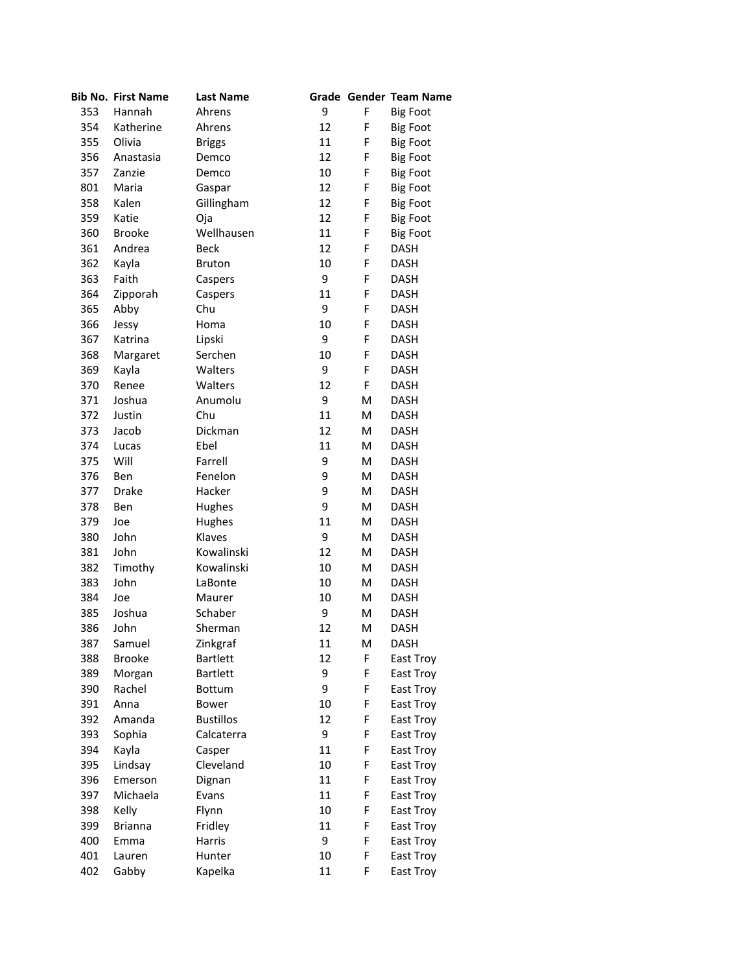|     | <b>Bib No. First Name</b> | <b>Last Name</b> |    |   | Grade Gender Team Name |
|-----|---------------------------|------------------|----|---|------------------------|
| 353 | Hannah                    | Ahrens           | 9  | F | <b>Big Foot</b>        |
| 354 | Katherine                 | Ahrens           | 12 | F | <b>Big Foot</b>        |
| 355 | Olivia                    | <b>Briggs</b>    | 11 | F | <b>Big Foot</b>        |
| 356 | Anastasia                 | Demco            | 12 | F | <b>Big Foot</b>        |
| 357 | Zanzie                    | Demco            | 10 | F | <b>Big Foot</b>        |
| 801 | Maria                     | Gaspar           | 12 | F | <b>Big Foot</b>        |
| 358 | Kalen                     | Gillingham       | 12 | F | <b>Big Foot</b>        |
| 359 | Katie                     | Oja              | 12 | F | <b>Big Foot</b>        |
| 360 | <b>Brooke</b>             | Wellhausen       | 11 | F | <b>Big Foot</b>        |
| 361 | Andrea                    | <b>Beck</b>      | 12 | F | <b>DASH</b>            |
| 362 | Kayla                     | <b>Bruton</b>    | 10 | F | <b>DASH</b>            |
| 363 | Faith                     | Caspers          | 9  | F | <b>DASH</b>            |
| 364 | Zipporah                  | Caspers          | 11 | F | <b>DASH</b>            |
| 365 | Abby                      | Chu              | 9  | F | <b>DASH</b>            |
| 366 | Jessy                     | Homa             | 10 | F | <b>DASH</b>            |
| 367 | Katrina                   | Lipski           | 9  | F | <b>DASH</b>            |
| 368 | Margaret                  | Serchen          | 10 | F | <b>DASH</b>            |
| 369 | Kayla                     | Walters          | 9  | F | <b>DASH</b>            |
| 370 | Renee                     | Walters          | 12 | F | <b>DASH</b>            |
| 371 | Joshua                    | Anumolu          | 9  | M | <b>DASH</b>            |
| 372 | Justin                    | Chu              | 11 | M | <b>DASH</b>            |
| 373 | Jacob                     | Dickman          | 12 | M | <b>DASH</b>            |
| 374 | Lucas                     | Ebel             | 11 | M | <b>DASH</b>            |
| 375 | Will                      | Farrell          | 9  | M | <b>DASH</b>            |
| 376 | Ben                       | Fenelon          | 9  | M | <b>DASH</b>            |
| 377 | Drake                     | Hacker           | 9  | M | <b>DASH</b>            |
| 378 | Ben                       | Hughes           | 9  | M | <b>DASH</b>            |
| 379 | Joe                       | Hughes           | 11 | M | <b>DASH</b>            |
| 380 | John                      | Klaves           | 9  | M | <b>DASH</b>            |
| 381 | John                      | Kowalinski       | 12 | M | <b>DASH</b>            |
| 382 | Timothy                   | Kowalinski       | 10 | M | <b>DASH</b>            |
| 383 | John                      | LaBonte          | 10 | M | <b>DASH</b>            |
| 384 | Joe                       | Maurer           | 10 | M | <b>DASH</b>            |
| 385 | Joshua                    | Schaber          | 9  | M | <b>DASH</b>            |
| 386 | John                      | Sherman          | 12 | M | <b>DASH</b>            |
| 387 | Samuel                    | Zinkgraf         | 11 | M | <b>DASH</b>            |
| 388 | <b>Brooke</b>             | <b>Bartlett</b>  | 12 | F | East Troy              |
| 389 | Morgan                    | <b>Bartlett</b>  | 9  | F | East Troy              |
| 390 | Rachel                    | <b>Bottum</b>    | 9  | F | East Troy              |
| 391 | Anna                      | Bower            | 10 | F | East Troy              |
| 392 | Amanda                    | <b>Bustillos</b> | 12 | F | East Troy              |
| 393 | Sophia                    | Calcaterra       | 9  | F | East Troy              |
| 394 | Kayla                     | Casper           | 11 | F | East Troy              |
| 395 | Lindsay                   | Cleveland        | 10 | F | East Troy              |
| 396 | Emerson                   | Dignan           | 11 | F | East Troy              |
| 397 | Michaela                  | Evans            | 11 | F | East Troy              |
| 398 | Kelly                     | Flynn            | 10 | F | East Troy              |
| 399 | <b>Brianna</b>            | Fridley          | 11 | F | East Troy              |
| 400 | Emma                      | Harris           | 9  | F | East Troy              |
| 401 | Lauren                    | Hunter           | 10 | F | East Troy              |
| 402 | Gabby                     | Kapelka          | 11 | F | East Troy              |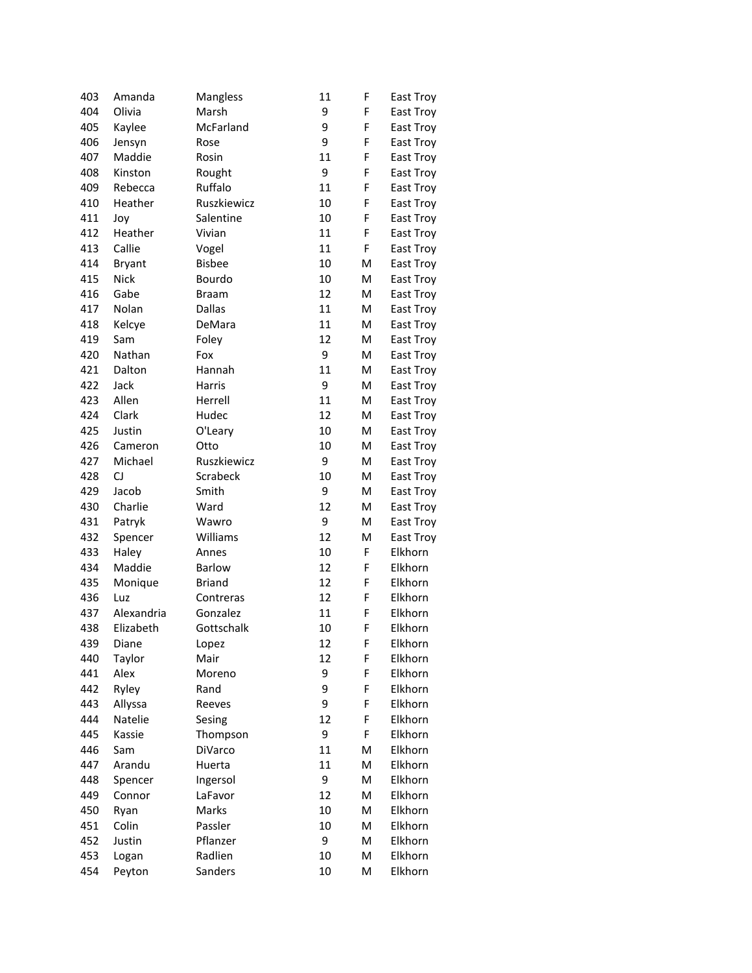| 403 | Amanda      | Mangless      | 11 | F | East Troy |
|-----|-------------|---------------|----|---|-----------|
| 404 | Olivia      | Marsh         | 9  | F | East Troy |
| 405 | Kaylee      | McFarland     | 9  | F | East Troy |
| 406 | Jensyn      | Rose          | 9  | F | East Troy |
| 407 | Maddie      | Rosin         | 11 | F | East Troy |
| 408 | Kinston     | Rought        | 9  | F | East Troy |
| 409 | Rebecca     | Ruffalo       | 11 | F | East Troy |
| 410 | Heather     | Ruszkiewicz   | 10 | F | East Troy |
| 411 | Joy         | Salentine     | 10 | F | East Troy |
| 412 | Heather     | Vivian        | 11 | F | East Troy |
| 413 | Callie      | Vogel         | 11 | F | East Troy |
| 414 | Bryant      | <b>Bisbee</b> | 10 | M | East Troy |
| 415 | <b>Nick</b> | Bourdo        | 10 | M | East Troy |
| 416 | Gabe        | <b>Braam</b>  | 12 | M | East Troy |
| 417 | Nolan       | Dallas        | 11 | M | East Troy |
| 418 | Kelcye      | DeMara        | 11 | M | East Troy |
| 419 | Sam         | Foley         | 12 | M | East Troy |
| 420 | Nathan      | Fox           | 9  | M | East Troy |
| 421 | Dalton      | Hannah        | 11 | M | East Troy |
| 422 | Jack        | Harris        | 9  | M | East Troy |
| 423 | Allen       | Herrell       | 11 | M | East Troy |
| 424 | Clark       | Hudec         | 12 | M | East Troy |
| 425 | Justin      | O'Leary       | 10 | M | East Troy |
| 426 | Cameron     | Otto          | 10 | M | East Troy |
| 427 | Michael     | Ruszkiewicz   | 9  | M | East Troy |
| 428 | CJ          | Scrabeck      | 10 | M | East Troy |
| 429 | Jacob       | Smith         | 9  | M | East Troy |
| 430 | Charlie     | Ward          | 12 | M | East Troy |
| 431 | Patryk      | Wawro         | 9  | M | East Troy |
| 432 | Spencer     | Williams      | 12 | M | East Troy |
| 433 | Haley       | Annes         | 10 | F | Elkhorn   |
| 434 | Maddie      | <b>Barlow</b> | 12 | F | Elkhorn   |
| 435 | Monique     | <b>Briand</b> | 12 | F | Elkhorn   |
| 436 | Luz         | Contreras     | 12 | F | Elkhorn   |
| 437 | Alexandria  | Gonzalez      | 11 | F | Elkhorn   |
| 438 | Elizabeth   | Gottschalk    | 10 | F | Elkhorn   |
| 439 | Diane       | Lopez         | 12 | F | Elkhorn   |
| 440 | Taylor      | Mair          | 12 | F | Elkhorn   |
| 441 | Alex        | Moreno        | 9  | F | Elkhorn   |
| 442 | Ryley       | Rand          | 9  | F | Elkhorn   |
| 443 | Allyssa     | Reeves        | 9  | F | Elkhorn   |
| 444 | Natelie     | Sesing        | 12 | F | Elkhorn   |
| 445 | Kassie      | Thompson      | 9  | F | Elkhorn   |
| 446 | Sam         | DiVarco       | 11 | M | Elkhorn   |
| 447 | Arandu      | Huerta        | 11 | M | Elkhorn   |
| 448 | Spencer     | Ingersol      | 9  | M | Elkhorn   |
| 449 | Connor      | LaFavor       | 12 | M | Elkhorn   |
| 450 | Ryan        | Marks         | 10 | M | Elkhorn   |
| 451 | Colin       | Passler       | 10 | M | Elkhorn   |
| 452 | Justin      | Pflanzer      | 9  | M | Elkhorn   |
| 453 | Logan       | Radlien       | 10 | M | Elkhorn   |
| 454 | Peyton      | Sanders       | 10 | M | Elkhorn   |
|     |             |               |    |   |           |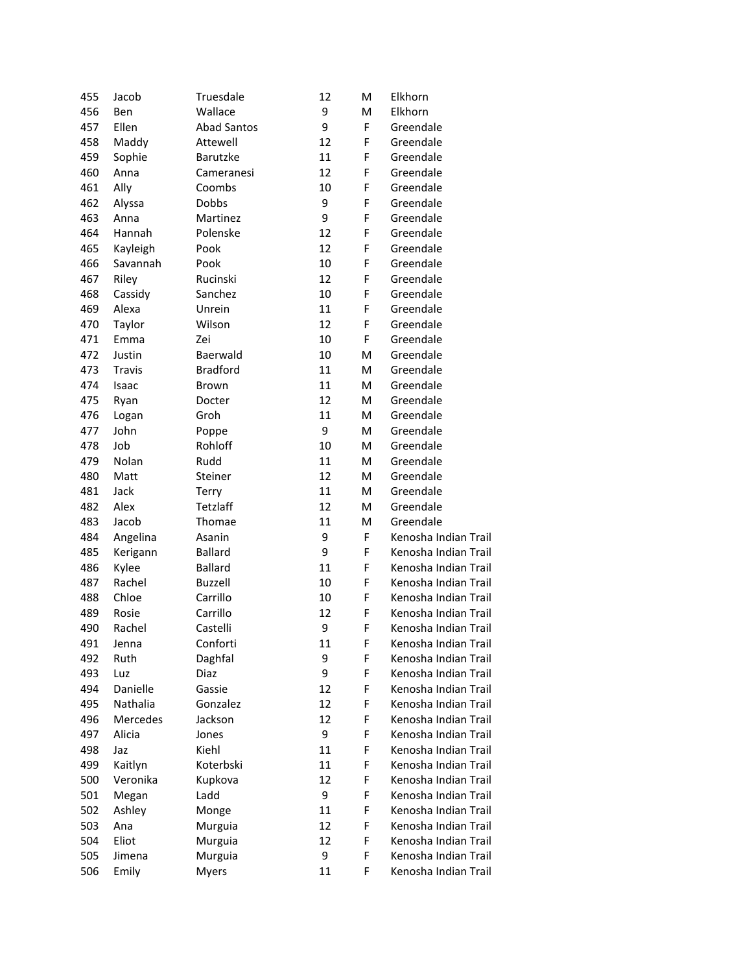| 455 | Jacob    | Truesdale          | 12 | M | Elkhorn              |
|-----|----------|--------------------|----|---|----------------------|
| 456 | Ben      | Wallace            | 9  | M | Elkhorn              |
| 457 | Ellen    | <b>Abad Santos</b> | 9  | F | Greendale            |
| 458 | Maddy    | Attewell           | 12 | F | Greendale            |
| 459 | Sophie   | Barutzke           | 11 | F | Greendale            |
| 460 | Anna     | Cameranesi         | 12 | F | Greendale            |
| 461 | Ally     | Coombs             | 10 | F | Greendale            |
| 462 | Alyssa   | Dobbs              | 9  | F | Greendale            |
| 463 | Anna     | Martinez           | 9  | F | Greendale            |
| 464 | Hannah   | Polenske           | 12 | F | Greendale            |
| 465 | Kayleigh | Pook               | 12 | F | Greendale            |
| 466 | Savannah | Pook               | 10 | F | Greendale            |
| 467 | Riley    | Rucinski           | 12 | F | Greendale            |
| 468 | Cassidy  | Sanchez            | 10 | F | Greendale            |
| 469 | Alexa    | Unrein             | 11 | F | Greendale            |
| 470 | Taylor   | Wilson             | 12 | F | Greendale            |
| 471 | Emma     | Zei                | 10 | F | Greendale            |
| 472 | Justin   | Baerwald           | 10 | M | Greendale            |
| 473 | Travis   | <b>Bradford</b>    | 11 | M | Greendale            |
| 474 | Isaac    | Brown              | 11 | M | Greendale            |
| 475 | Ryan     | Docter             | 12 | M | Greendale            |
| 476 | Logan    | Groh               | 11 | M | Greendale            |
| 477 | John     | Poppe              | 9  | M | Greendale            |
| 478 | Job      | Rohloff            | 10 | M | Greendale            |
| 479 | Nolan    | Rudd               | 11 | M | Greendale            |
| 480 | Matt     | Steiner            | 12 | M | Greendale            |
| 481 | Jack     | Terry              | 11 | M | Greendale            |
| 482 | Alex     | Tetzlaff           | 12 | M | Greendale            |
| 483 | Jacob    | Thomae             | 11 | M | Greendale            |
| 484 | Angelina | Asanin             | 9  | F | Kenosha Indian Trail |
| 485 | Kerigann | <b>Ballard</b>     | 9  | F | Kenosha Indian Trail |
| 486 | Kylee    | <b>Ballard</b>     | 11 | F | Kenosha Indian Trail |
| 487 | Rachel   | <b>Buzzell</b>     | 10 | F | Kenosha Indian Trail |
| 488 | Chloe    | Carrillo           | 10 | F | Kenosha Indian Trail |
| 489 | Rosie    | Carrillo           | 12 | F | Kenosha Indian Trail |
| 490 | Rachel   | Castelli           | 9  | F | Kenosha Indian Trail |
| 491 | Jenna    | Conforti           | 11 | h | Kenosha Indian Trail |
| 492 | Ruth     | Daghfal            | 9  | F | Kenosha Indian Trail |
| 493 | Luz      | Diaz               | 9  | F | Kenosha Indian Trail |
| 494 | Danielle | Gassie             | 12 | F | Kenosha Indian Trail |
| 495 | Nathalia | Gonzalez           | 12 | F | Kenosha Indian Trail |
| 496 | Mercedes | Jackson            | 12 | F | Kenosha Indian Trail |
| 497 | Alicia   | Jones              | 9  | F | Kenosha Indian Trail |
| 498 | Jaz      | Kiehl              | 11 | F | Kenosha Indian Trail |
| 499 | Kaitlyn  | Koterbski          | 11 | F | Kenosha Indian Trail |
| 500 | Veronika | Kupkova            | 12 | F | Kenosha Indian Trail |
| 501 | Megan    | Ladd               | 9  | F | Kenosha Indian Trail |
| 502 | Ashley   | Monge              | 11 | F | Kenosha Indian Trail |
| 503 | Ana      | Murguia            | 12 | F | Kenosha Indian Trail |
| 504 | Eliot    | Murguia            | 12 | F | Kenosha Indian Trail |
| 505 | Jimena   | Murguia            | 9  | F | Kenosha Indian Trail |
| 506 | Emily    | <b>Myers</b>       | 11 | F | Kenosha Indian Trail |
|     |          |                    |    |   |                      |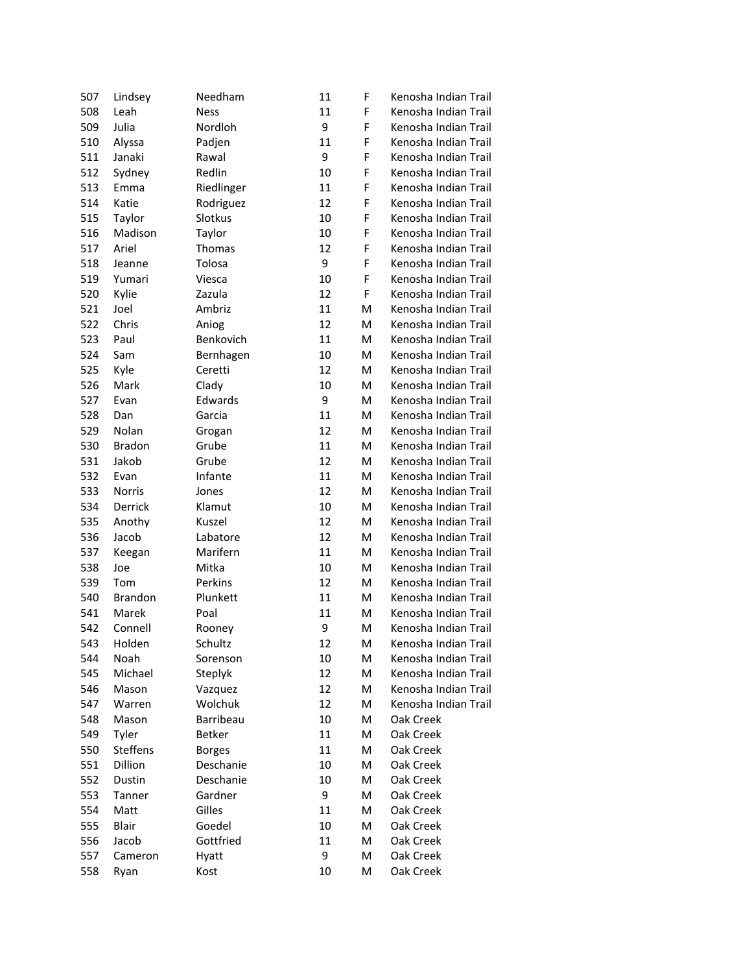| F<br>508<br>Leah<br>11<br>Kenosha Indian Trail<br><b>Ness</b><br>9<br>F<br>509<br>Julia<br>Nordloh<br>Kenosha Indian Trail<br>F<br>510<br>11<br>Alyssa<br>Padjen<br>Kenosha Indian Trail<br>9<br>F<br>511<br>Janaki<br>Kenosha Indian Trail<br>Rawal<br>512<br>Redlin<br>10<br>F<br>Kenosha Indian Trail<br>Sydney<br>513<br>Riedlinger<br>11<br>F<br>Kenosha Indian Trail<br>Emma<br>514<br>Katie<br>12<br>F<br>Kenosha Indian Trail<br>Rodriguez<br>515<br>Slotkus<br>10<br>F<br>Kenosha Indian Trail<br>Taylor<br>516<br>Taylor<br>10<br>F<br>Kenosha Indian Trail<br>Madison<br>F<br>517<br>Ariel<br>12<br>Kenosha Indian Trail<br>Thomas<br>9<br>F<br>518<br>Tolosa<br>Kenosha Indian Trail<br>Jeanne<br>F<br>519<br>10<br>Kenosha Indian Trail<br>Yumari<br>Viesca<br>F<br>520<br>Kylie<br>12<br>Kenosha Indian Trail<br>Zazula<br>521<br>11<br>Kenosha Indian Trail<br>Joel<br>Ambriz<br>м<br>522<br>Chris<br>12<br>Kenosha Indian Trail<br>Aniog<br>м<br>523<br>Benkovich<br>11<br>Kenosha Indian Trail<br>Paul<br>м<br>524<br>Kenosha Indian Trail<br>Sam<br>Bernhagen<br>10<br>м<br>525<br>Kyle<br>12<br>Kenosha Indian Trail<br>Ceretti<br>м<br>526<br>Mark<br>10<br>Kenosha Indian Trail<br>Clady<br>м<br>527<br>Evan<br>Edwards<br>9<br>Kenosha Indian Trail<br>м<br>528<br>Garcia<br>11<br>M<br>Kenosha Indian Trail<br>Dan<br>529<br>Nolan<br>12<br>M<br>Kenosha Indian Trail<br>Grogan<br>530<br><b>Bradon</b><br>Grube<br>11<br>M<br>Kenosha Indian Trail<br>531<br>Jakob<br>Grube<br>12<br>M<br>Kenosha Indian Trail<br>532<br>Infante<br>11<br>M<br>Kenosha Indian Trail<br>Evan<br>533<br>12<br>M<br>Kenosha Indian Trail<br><b>Norris</b><br>Jones<br>534<br>Derrick<br>Klamut<br>10<br>M<br>Kenosha Indian Trail<br>535<br>12<br>M<br>Kenosha Indian Trail<br>Anothy<br>Kuszel<br>536<br>Jacob<br>Labatore<br>12<br>M<br>Kenosha Indian Trail<br>Marifern<br>537<br>11<br>M<br>Kenosha Indian Trail<br>Keegan<br>538<br>Mitka<br>10<br>Kenosha Indian Trail<br>м<br>Joe<br>539<br>Perkins<br>12<br>Kenosha Indian Trail<br>Tom<br>м<br>540<br><b>Brandon</b><br>Plunkett<br>11<br>Kenosha Indian Trail<br>м<br>541<br>Marek<br>11<br>Kenosha Indian Trail<br>Poal<br>м<br>9<br>542<br>Connell<br>Kenosha Indian Trail<br>M<br>Rooney<br>543<br>Holden<br>Schultz<br>12<br>м<br>Kenosha Indian Trail<br>544<br>Noah<br>10<br>M<br>Kenosha Indian Trail<br>Sorenson<br>545<br>Michael<br>12<br>Kenosha Indian Trail<br>Steplyk<br>M<br>546<br>12<br>Kenosha Indian Trail<br>Mason<br>M<br>Vazquez<br>547<br>Wolchuk<br>12<br>Kenosha Indian Trail<br>Warren<br>M<br>548<br>Barribeau<br>10<br>Oak Creek<br>Mason<br>M<br>549<br>Tyler<br>Betker<br>11<br>M<br>Oak Creek<br><b>Steffens</b><br>11<br>M<br>Oak Creek<br>550<br><b>Borges</b><br>Dillion<br>Deschanie<br>Oak Creek<br>551<br>10<br>M<br>Deschanie<br>Oak Creek<br>552<br>Dustin<br>10<br>M<br>Gardner<br>9<br>Oak Creek<br>553<br>Tanner<br>M<br>554<br>Gilles<br>11<br>Oak Creek<br>Matt<br>M<br>555<br>Blair<br>Goedel<br>10<br>Oak Creek<br>M<br>556<br>Gottfried<br>11<br>Oak Creek<br>Jacob<br>M<br>557<br>9<br>Oak Creek<br>Hyatt<br>M<br>Cameron<br>558<br>Oak Creek<br>Kost<br>10<br>Μ<br>Ryan | 507 | Lindsey | Needham | 11 | F | Kenosha Indian Trail |
|-----------------------------------------------------------------------------------------------------------------------------------------------------------------------------------------------------------------------------------------------------------------------------------------------------------------------------------------------------------------------------------------------------------------------------------------------------------------------------------------------------------------------------------------------------------------------------------------------------------------------------------------------------------------------------------------------------------------------------------------------------------------------------------------------------------------------------------------------------------------------------------------------------------------------------------------------------------------------------------------------------------------------------------------------------------------------------------------------------------------------------------------------------------------------------------------------------------------------------------------------------------------------------------------------------------------------------------------------------------------------------------------------------------------------------------------------------------------------------------------------------------------------------------------------------------------------------------------------------------------------------------------------------------------------------------------------------------------------------------------------------------------------------------------------------------------------------------------------------------------------------------------------------------------------------------------------------------------------------------------------------------------------------------------------------------------------------------------------------------------------------------------------------------------------------------------------------------------------------------------------------------------------------------------------------------------------------------------------------------------------------------------------------------------------------------------------------------------------------------------------------------------------------------------------------------------------------------------------------------------------------------------------------------------------------------------------------------------------------------------------------------------------------------------------------------------------------------------------------------------------------------------------------------------------------------------------------------------------------------------------------------------------------------------------------------------------------------------------------------------------------------------------------------------------------------------|-----|---------|---------|----|---|----------------------|
|                                                                                                                                                                                                                                                                                                                                                                                                                                                                                                                                                                                                                                                                                                                                                                                                                                                                                                                                                                                                                                                                                                                                                                                                                                                                                                                                                                                                                                                                                                                                                                                                                                                                                                                                                                                                                                                                                                                                                                                                                                                                                                                                                                                                                                                                                                                                                                                                                                                                                                                                                                                                                                                                                                                                                                                                                                                                                                                                                                                                                                                                                                                                                                                         |     |         |         |    |   |                      |
|                                                                                                                                                                                                                                                                                                                                                                                                                                                                                                                                                                                                                                                                                                                                                                                                                                                                                                                                                                                                                                                                                                                                                                                                                                                                                                                                                                                                                                                                                                                                                                                                                                                                                                                                                                                                                                                                                                                                                                                                                                                                                                                                                                                                                                                                                                                                                                                                                                                                                                                                                                                                                                                                                                                                                                                                                                                                                                                                                                                                                                                                                                                                                                                         |     |         |         |    |   |                      |
|                                                                                                                                                                                                                                                                                                                                                                                                                                                                                                                                                                                                                                                                                                                                                                                                                                                                                                                                                                                                                                                                                                                                                                                                                                                                                                                                                                                                                                                                                                                                                                                                                                                                                                                                                                                                                                                                                                                                                                                                                                                                                                                                                                                                                                                                                                                                                                                                                                                                                                                                                                                                                                                                                                                                                                                                                                                                                                                                                                                                                                                                                                                                                                                         |     |         |         |    |   |                      |
|                                                                                                                                                                                                                                                                                                                                                                                                                                                                                                                                                                                                                                                                                                                                                                                                                                                                                                                                                                                                                                                                                                                                                                                                                                                                                                                                                                                                                                                                                                                                                                                                                                                                                                                                                                                                                                                                                                                                                                                                                                                                                                                                                                                                                                                                                                                                                                                                                                                                                                                                                                                                                                                                                                                                                                                                                                                                                                                                                                                                                                                                                                                                                                                         |     |         |         |    |   |                      |
|                                                                                                                                                                                                                                                                                                                                                                                                                                                                                                                                                                                                                                                                                                                                                                                                                                                                                                                                                                                                                                                                                                                                                                                                                                                                                                                                                                                                                                                                                                                                                                                                                                                                                                                                                                                                                                                                                                                                                                                                                                                                                                                                                                                                                                                                                                                                                                                                                                                                                                                                                                                                                                                                                                                                                                                                                                                                                                                                                                                                                                                                                                                                                                                         |     |         |         |    |   |                      |
|                                                                                                                                                                                                                                                                                                                                                                                                                                                                                                                                                                                                                                                                                                                                                                                                                                                                                                                                                                                                                                                                                                                                                                                                                                                                                                                                                                                                                                                                                                                                                                                                                                                                                                                                                                                                                                                                                                                                                                                                                                                                                                                                                                                                                                                                                                                                                                                                                                                                                                                                                                                                                                                                                                                                                                                                                                                                                                                                                                                                                                                                                                                                                                                         |     |         |         |    |   |                      |
|                                                                                                                                                                                                                                                                                                                                                                                                                                                                                                                                                                                                                                                                                                                                                                                                                                                                                                                                                                                                                                                                                                                                                                                                                                                                                                                                                                                                                                                                                                                                                                                                                                                                                                                                                                                                                                                                                                                                                                                                                                                                                                                                                                                                                                                                                                                                                                                                                                                                                                                                                                                                                                                                                                                                                                                                                                                                                                                                                                                                                                                                                                                                                                                         |     |         |         |    |   |                      |
|                                                                                                                                                                                                                                                                                                                                                                                                                                                                                                                                                                                                                                                                                                                                                                                                                                                                                                                                                                                                                                                                                                                                                                                                                                                                                                                                                                                                                                                                                                                                                                                                                                                                                                                                                                                                                                                                                                                                                                                                                                                                                                                                                                                                                                                                                                                                                                                                                                                                                                                                                                                                                                                                                                                                                                                                                                                                                                                                                                                                                                                                                                                                                                                         |     |         |         |    |   |                      |
|                                                                                                                                                                                                                                                                                                                                                                                                                                                                                                                                                                                                                                                                                                                                                                                                                                                                                                                                                                                                                                                                                                                                                                                                                                                                                                                                                                                                                                                                                                                                                                                                                                                                                                                                                                                                                                                                                                                                                                                                                                                                                                                                                                                                                                                                                                                                                                                                                                                                                                                                                                                                                                                                                                                                                                                                                                                                                                                                                                                                                                                                                                                                                                                         |     |         |         |    |   |                      |
|                                                                                                                                                                                                                                                                                                                                                                                                                                                                                                                                                                                                                                                                                                                                                                                                                                                                                                                                                                                                                                                                                                                                                                                                                                                                                                                                                                                                                                                                                                                                                                                                                                                                                                                                                                                                                                                                                                                                                                                                                                                                                                                                                                                                                                                                                                                                                                                                                                                                                                                                                                                                                                                                                                                                                                                                                                                                                                                                                                                                                                                                                                                                                                                         |     |         |         |    |   |                      |
|                                                                                                                                                                                                                                                                                                                                                                                                                                                                                                                                                                                                                                                                                                                                                                                                                                                                                                                                                                                                                                                                                                                                                                                                                                                                                                                                                                                                                                                                                                                                                                                                                                                                                                                                                                                                                                                                                                                                                                                                                                                                                                                                                                                                                                                                                                                                                                                                                                                                                                                                                                                                                                                                                                                                                                                                                                                                                                                                                                                                                                                                                                                                                                                         |     |         |         |    |   |                      |
|                                                                                                                                                                                                                                                                                                                                                                                                                                                                                                                                                                                                                                                                                                                                                                                                                                                                                                                                                                                                                                                                                                                                                                                                                                                                                                                                                                                                                                                                                                                                                                                                                                                                                                                                                                                                                                                                                                                                                                                                                                                                                                                                                                                                                                                                                                                                                                                                                                                                                                                                                                                                                                                                                                                                                                                                                                                                                                                                                                                                                                                                                                                                                                                         |     |         |         |    |   |                      |
|                                                                                                                                                                                                                                                                                                                                                                                                                                                                                                                                                                                                                                                                                                                                                                                                                                                                                                                                                                                                                                                                                                                                                                                                                                                                                                                                                                                                                                                                                                                                                                                                                                                                                                                                                                                                                                                                                                                                                                                                                                                                                                                                                                                                                                                                                                                                                                                                                                                                                                                                                                                                                                                                                                                                                                                                                                                                                                                                                                                                                                                                                                                                                                                         |     |         |         |    |   |                      |
|                                                                                                                                                                                                                                                                                                                                                                                                                                                                                                                                                                                                                                                                                                                                                                                                                                                                                                                                                                                                                                                                                                                                                                                                                                                                                                                                                                                                                                                                                                                                                                                                                                                                                                                                                                                                                                                                                                                                                                                                                                                                                                                                                                                                                                                                                                                                                                                                                                                                                                                                                                                                                                                                                                                                                                                                                                                                                                                                                                                                                                                                                                                                                                                         |     |         |         |    |   |                      |
|                                                                                                                                                                                                                                                                                                                                                                                                                                                                                                                                                                                                                                                                                                                                                                                                                                                                                                                                                                                                                                                                                                                                                                                                                                                                                                                                                                                                                                                                                                                                                                                                                                                                                                                                                                                                                                                                                                                                                                                                                                                                                                                                                                                                                                                                                                                                                                                                                                                                                                                                                                                                                                                                                                                                                                                                                                                                                                                                                                                                                                                                                                                                                                                         |     |         |         |    |   |                      |
|                                                                                                                                                                                                                                                                                                                                                                                                                                                                                                                                                                                                                                                                                                                                                                                                                                                                                                                                                                                                                                                                                                                                                                                                                                                                                                                                                                                                                                                                                                                                                                                                                                                                                                                                                                                                                                                                                                                                                                                                                                                                                                                                                                                                                                                                                                                                                                                                                                                                                                                                                                                                                                                                                                                                                                                                                                                                                                                                                                                                                                                                                                                                                                                         |     |         |         |    |   |                      |
|                                                                                                                                                                                                                                                                                                                                                                                                                                                                                                                                                                                                                                                                                                                                                                                                                                                                                                                                                                                                                                                                                                                                                                                                                                                                                                                                                                                                                                                                                                                                                                                                                                                                                                                                                                                                                                                                                                                                                                                                                                                                                                                                                                                                                                                                                                                                                                                                                                                                                                                                                                                                                                                                                                                                                                                                                                                                                                                                                                                                                                                                                                                                                                                         |     |         |         |    |   |                      |
|                                                                                                                                                                                                                                                                                                                                                                                                                                                                                                                                                                                                                                                                                                                                                                                                                                                                                                                                                                                                                                                                                                                                                                                                                                                                                                                                                                                                                                                                                                                                                                                                                                                                                                                                                                                                                                                                                                                                                                                                                                                                                                                                                                                                                                                                                                                                                                                                                                                                                                                                                                                                                                                                                                                                                                                                                                                                                                                                                                                                                                                                                                                                                                                         |     |         |         |    |   |                      |
|                                                                                                                                                                                                                                                                                                                                                                                                                                                                                                                                                                                                                                                                                                                                                                                                                                                                                                                                                                                                                                                                                                                                                                                                                                                                                                                                                                                                                                                                                                                                                                                                                                                                                                                                                                                                                                                                                                                                                                                                                                                                                                                                                                                                                                                                                                                                                                                                                                                                                                                                                                                                                                                                                                                                                                                                                                                                                                                                                                                                                                                                                                                                                                                         |     |         |         |    |   |                      |
|                                                                                                                                                                                                                                                                                                                                                                                                                                                                                                                                                                                                                                                                                                                                                                                                                                                                                                                                                                                                                                                                                                                                                                                                                                                                                                                                                                                                                                                                                                                                                                                                                                                                                                                                                                                                                                                                                                                                                                                                                                                                                                                                                                                                                                                                                                                                                                                                                                                                                                                                                                                                                                                                                                                                                                                                                                                                                                                                                                                                                                                                                                                                                                                         |     |         |         |    |   |                      |
|                                                                                                                                                                                                                                                                                                                                                                                                                                                                                                                                                                                                                                                                                                                                                                                                                                                                                                                                                                                                                                                                                                                                                                                                                                                                                                                                                                                                                                                                                                                                                                                                                                                                                                                                                                                                                                                                                                                                                                                                                                                                                                                                                                                                                                                                                                                                                                                                                                                                                                                                                                                                                                                                                                                                                                                                                                                                                                                                                                                                                                                                                                                                                                                         |     |         |         |    |   |                      |
|                                                                                                                                                                                                                                                                                                                                                                                                                                                                                                                                                                                                                                                                                                                                                                                                                                                                                                                                                                                                                                                                                                                                                                                                                                                                                                                                                                                                                                                                                                                                                                                                                                                                                                                                                                                                                                                                                                                                                                                                                                                                                                                                                                                                                                                                                                                                                                                                                                                                                                                                                                                                                                                                                                                                                                                                                                                                                                                                                                                                                                                                                                                                                                                         |     |         |         |    |   |                      |
|                                                                                                                                                                                                                                                                                                                                                                                                                                                                                                                                                                                                                                                                                                                                                                                                                                                                                                                                                                                                                                                                                                                                                                                                                                                                                                                                                                                                                                                                                                                                                                                                                                                                                                                                                                                                                                                                                                                                                                                                                                                                                                                                                                                                                                                                                                                                                                                                                                                                                                                                                                                                                                                                                                                                                                                                                                                                                                                                                                                                                                                                                                                                                                                         |     |         |         |    |   |                      |
|                                                                                                                                                                                                                                                                                                                                                                                                                                                                                                                                                                                                                                                                                                                                                                                                                                                                                                                                                                                                                                                                                                                                                                                                                                                                                                                                                                                                                                                                                                                                                                                                                                                                                                                                                                                                                                                                                                                                                                                                                                                                                                                                                                                                                                                                                                                                                                                                                                                                                                                                                                                                                                                                                                                                                                                                                                                                                                                                                                                                                                                                                                                                                                                         |     |         |         |    |   |                      |
|                                                                                                                                                                                                                                                                                                                                                                                                                                                                                                                                                                                                                                                                                                                                                                                                                                                                                                                                                                                                                                                                                                                                                                                                                                                                                                                                                                                                                                                                                                                                                                                                                                                                                                                                                                                                                                                                                                                                                                                                                                                                                                                                                                                                                                                                                                                                                                                                                                                                                                                                                                                                                                                                                                                                                                                                                                                                                                                                                                                                                                                                                                                                                                                         |     |         |         |    |   |                      |
|                                                                                                                                                                                                                                                                                                                                                                                                                                                                                                                                                                                                                                                                                                                                                                                                                                                                                                                                                                                                                                                                                                                                                                                                                                                                                                                                                                                                                                                                                                                                                                                                                                                                                                                                                                                                                                                                                                                                                                                                                                                                                                                                                                                                                                                                                                                                                                                                                                                                                                                                                                                                                                                                                                                                                                                                                                                                                                                                                                                                                                                                                                                                                                                         |     |         |         |    |   |                      |
|                                                                                                                                                                                                                                                                                                                                                                                                                                                                                                                                                                                                                                                                                                                                                                                                                                                                                                                                                                                                                                                                                                                                                                                                                                                                                                                                                                                                                                                                                                                                                                                                                                                                                                                                                                                                                                                                                                                                                                                                                                                                                                                                                                                                                                                                                                                                                                                                                                                                                                                                                                                                                                                                                                                                                                                                                                                                                                                                                                                                                                                                                                                                                                                         |     |         |         |    |   |                      |
|                                                                                                                                                                                                                                                                                                                                                                                                                                                                                                                                                                                                                                                                                                                                                                                                                                                                                                                                                                                                                                                                                                                                                                                                                                                                                                                                                                                                                                                                                                                                                                                                                                                                                                                                                                                                                                                                                                                                                                                                                                                                                                                                                                                                                                                                                                                                                                                                                                                                                                                                                                                                                                                                                                                                                                                                                                                                                                                                                                                                                                                                                                                                                                                         |     |         |         |    |   |                      |
|                                                                                                                                                                                                                                                                                                                                                                                                                                                                                                                                                                                                                                                                                                                                                                                                                                                                                                                                                                                                                                                                                                                                                                                                                                                                                                                                                                                                                                                                                                                                                                                                                                                                                                                                                                                                                                                                                                                                                                                                                                                                                                                                                                                                                                                                                                                                                                                                                                                                                                                                                                                                                                                                                                                                                                                                                                                                                                                                                                                                                                                                                                                                                                                         |     |         |         |    |   |                      |
|                                                                                                                                                                                                                                                                                                                                                                                                                                                                                                                                                                                                                                                                                                                                                                                                                                                                                                                                                                                                                                                                                                                                                                                                                                                                                                                                                                                                                                                                                                                                                                                                                                                                                                                                                                                                                                                                                                                                                                                                                                                                                                                                                                                                                                                                                                                                                                                                                                                                                                                                                                                                                                                                                                                                                                                                                                                                                                                                                                                                                                                                                                                                                                                         |     |         |         |    |   |                      |
|                                                                                                                                                                                                                                                                                                                                                                                                                                                                                                                                                                                                                                                                                                                                                                                                                                                                                                                                                                                                                                                                                                                                                                                                                                                                                                                                                                                                                                                                                                                                                                                                                                                                                                                                                                                                                                                                                                                                                                                                                                                                                                                                                                                                                                                                                                                                                                                                                                                                                                                                                                                                                                                                                                                                                                                                                                                                                                                                                                                                                                                                                                                                                                                         |     |         |         |    |   |                      |
|                                                                                                                                                                                                                                                                                                                                                                                                                                                                                                                                                                                                                                                                                                                                                                                                                                                                                                                                                                                                                                                                                                                                                                                                                                                                                                                                                                                                                                                                                                                                                                                                                                                                                                                                                                                                                                                                                                                                                                                                                                                                                                                                                                                                                                                                                                                                                                                                                                                                                                                                                                                                                                                                                                                                                                                                                                                                                                                                                                                                                                                                                                                                                                                         |     |         |         |    |   |                      |
|                                                                                                                                                                                                                                                                                                                                                                                                                                                                                                                                                                                                                                                                                                                                                                                                                                                                                                                                                                                                                                                                                                                                                                                                                                                                                                                                                                                                                                                                                                                                                                                                                                                                                                                                                                                                                                                                                                                                                                                                                                                                                                                                                                                                                                                                                                                                                                                                                                                                                                                                                                                                                                                                                                                                                                                                                                                                                                                                                                                                                                                                                                                                                                                         |     |         |         |    |   |                      |
|                                                                                                                                                                                                                                                                                                                                                                                                                                                                                                                                                                                                                                                                                                                                                                                                                                                                                                                                                                                                                                                                                                                                                                                                                                                                                                                                                                                                                                                                                                                                                                                                                                                                                                                                                                                                                                                                                                                                                                                                                                                                                                                                                                                                                                                                                                                                                                                                                                                                                                                                                                                                                                                                                                                                                                                                                                                                                                                                                                                                                                                                                                                                                                                         |     |         |         |    |   |                      |
|                                                                                                                                                                                                                                                                                                                                                                                                                                                                                                                                                                                                                                                                                                                                                                                                                                                                                                                                                                                                                                                                                                                                                                                                                                                                                                                                                                                                                                                                                                                                                                                                                                                                                                                                                                                                                                                                                                                                                                                                                                                                                                                                                                                                                                                                                                                                                                                                                                                                                                                                                                                                                                                                                                                                                                                                                                                                                                                                                                                                                                                                                                                                                                                         |     |         |         |    |   |                      |
|                                                                                                                                                                                                                                                                                                                                                                                                                                                                                                                                                                                                                                                                                                                                                                                                                                                                                                                                                                                                                                                                                                                                                                                                                                                                                                                                                                                                                                                                                                                                                                                                                                                                                                                                                                                                                                                                                                                                                                                                                                                                                                                                                                                                                                                                                                                                                                                                                                                                                                                                                                                                                                                                                                                                                                                                                                                                                                                                                                                                                                                                                                                                                                                         |     |         |         |    |   |                      |
|                                                                                                                                                                                                                                                                                                                                                                                                                                                                                                                                                                                                                                                                                                                                                                                                                                                                                                                                                                                                                                                                                                                                                                                                                                                                                                                                                                                                                                                                                                                                                                                                                                                                                                                                                                                                                                                                                                                                                                                                                                                                                                                                                                                                                                                                                                                                                                                                                                                                                                                                                                                                                                                                                                                                                                                                                                                                                                                                                                                                                                                                                                                                                                                         |     |         |         |    |   |                      |
|                                                                                                                                                                                                                                                                                                                                                                                                                                                                                                                                                                                                                                                                                                                                                                                                                                                                                                                                                                                                                                                                                                                                                                                                                                                                                                                                                                                                                                                                                                                                                                                                                                                                                                                                                                                                                                                                                                                                                                                                                                                                                                                                                                                                                                                                                                                                                                                                                                                                                                                                                                                                                                                                                                                                                                                                                                                                                                                                                                                                                                                                                                                                                                                         |     |         |         |    |   |                      |
|                                                                                                                                                                                                                                                                                                                                                                                                                                                                                                                                                                                                                                                                                                                                                                                                                                                                                                                                                                                                                                                                                                                                                                                                                                                                                                                                                                                                                                                                                                                                                                                                                                                                                                                                                                                                                                                                                                                                                                                                                                                                                                                                                                                                                                                                                                                                                                                                                                                                                                                                                                                                                                                                                                                                                                                                                                                                                                                                                                                                                                                                                                                                                                                         |     |         |         |    |   |                      |
|                                                                                                                                                                                                                                                                                                                                                                                                                                                                                                                                                                                                                                                                                                                                                                                                                                                                                                                                                                                                                                                                                                                                                                                                                                                                                                                                                                                                                                                                                                                                                                                                                                                                                                                                                                                                                                                                                                                                                                                                                                                                                                                                                                                                                                                                                                                                                                                                                                                                                                                                                                                                                                                                                                                                                                                                                                                                                                                                                                                                                                                                                                                                                                                         |     |         |         |    |   |                      |
|                                                                                                                                                                                                                                                                                                                                                                                                                                                                                                                                                                                                                                                                                                                                                                                                                                                                                                                                                                                                                                                                                                                                                                                                                                                                                                                                                                                                                                                                                                                                                                                                                                                                                                                                                                                                                                                                                                                                                                                                                                                                                                                                                                                                                                                                                                                                                                                                                                                                                                                                                                                                                                                                                                                                                                                                                                                                                                                                                                                                                                                                                                                                                                                         |     |         |         |    |   |                      |
|                                                                                                                                                                                                                                                                                                                                                                                                                                                                                                                                                                                                                                                                                                                                                                                                                                                                                                                                                                                                                                                                                                                                                                                                                                                                                                                                                                                                                                                                                                                                                                                                                                                                                                                                                                                                                                                                                                                                                                                                                                                                                                                                                                                                                                                                                                                                                                                                                                                                                                                                                                                                                                                                                                                                                                                                                                                                                                                                                                                                                                                                                                                                                                                         |     |         |         |    |   |                      |
|                                                                                                                                                                                                                                                                                                                                                                                                                                                                                                                                                                                                                                                                                                                                                                                                                                                                                                                                                                                                                                                                                                                                                                                                                                                                                                                                                                                                                                                                                                                                                                                                                                                                                                                                                                                                                                                                                                                                                                                                                                                                                                                                                                                                                                                                                                                                                                                                                                                                                                                                                                                                                                                                                                                                                                                                                                                                                                                                                                                                                                                                                                                                                                                         |     |         |         |    |   |                      |
|                                                                                                                                                                                                                                                                                                                                                                                                                                                                                                                                                                                                                                                                                                                                                                                                                                                                                                                                                                                                                                                                                                                                                                                                                                                                                                                                                                                                                                                                                                                                                                                                                                                                                                                                                                                                                                                                                                                                                                                                                                                                                                                                                                                                                                                                                                                                                                                                                                                                                                                                                                                                                                                                                                                                                                                                                                                                                                                                                                                                                                                                                                                                                                                         |     |         |         |    |   |                      |
|                                                                                                                                                                                                                                                                                                                                                                                                                                                                                                                                                                                                                                                                                                                                                                                                                                                                                                                                                                                                                                                                                                                                                                                                                                                                                                                                                                                                                                                                                                                                                                                                                                                                                                                                                                                                                                                                                                                                                                                                                                                                                                                                                                                                                                                                                                                                                                                                                                                                                                                                                                                                                                                                                                                                                                                                                                                                                                                                                                                                                                                                                                                                                                                         |     |         |         |    |   |                      |
|                                                                                                                                                                                                                                                                                                                                                                                                                                                                                                                                                                                                                                                                                                                                                                                                                                                                                                                                                                                                                                                                                                                                                                                                                                                                                                                                                                                                                                                                                                                                                                                                                                                                                                                                                                                                                                                                                                                                                                                                                                                                                                                                                                                                                                                                                                                                                                                                                                                                                                                                                                                                                                                                                                                                                                                                                                                                                                                                                                                                                                                                                                                                                                                         |     |         |         |    |   |                      |
|                                                                                                                                                                                                                                                                                                                                                                                                                                                                                                                                                                                                                                                                                                                                                                                                                                                                                                                                                                                                                                                                                                                                                                                                                                                                                                                                                                                                                                                                                                                                                                                                                                                                                                                                                                                                                                                                                                                                                                                                                                                                                                                                                                                                                                                                                                                                                                                                                                                                                                                                                                                                                                                                                                                                                                                                                                                                                                                                                                                                                                                                                                                                                                                         |     |         |         |    |   |                      |
|                                                                                                                                                                                                                                                                                                                                                                                                                                                                                                                                                                                                                                                                                                                                                                                                                                                                                                                                                                                                                                                                                                                                                                                                                                                                                                                                                                                                                                                                                                                                                                                                                                                                                                                                                                                                                                                                                                                                                                                                                                                                                                                                                                                                                                                                                                                                                                                                                                                                                                                                                                                                                                                                                                                                                                                                                                                                                                                                                                                                                                                                                                                                                                                         |     |         |         |    |   |                      |
|                                                                                                                                                                                                                                                                                                                                                                                                                                                                                                                                                                                                                                                                                                                                                                                                                                                                                                                                                                                                                                                                                                                                                                                                                                                                                                                                                                                                                                                                                                                                                                                                                                                                                                                                                                                                                                                                                                                                                                                                                                                                                                                                                                                                                                                                                                                                                                                                                                                                                                                                                                                                                                                                                                                                                                                                                                                                                                                                                                                                                                                                                                                                                                                         |     |         |         |    |   |                      |
|                                                                                                                                                                                                                                                                                                                                                                                                                                                                                                                                                                                                                                                                                                                                                                                                                                                                                                                                                                                                                                                                                                                                                                                                                                                                                                                                                                                                                                                                                                                                                                                                                                                                                                                                                                                                                                                                                                                                                                                                                                                                                                                                                                                                                                                                                                                                                                                                                                                                                                                                                                                                                                                                                                                                                                                                                                                                                                                                                                                                                                                                                                                                                                                         |     |         |         |    |   |                      |
|                                                                                                                                                                                                                                                                                                                                                                                                                                                                                                                                                                                                                                                                                                                                                                                                                                                                                                                                                                                                                                                                                                                                                                                                                                                                                                                                                                                                                                                                                                                                                                                                                                                                                                                                                                                                                                                                                                                                                                                                                                                                                                                                                                                                                                                                                                                                                                                                                                                                                                                                                                                                                                                                                                                                                                                                                                                                                                                                                                                                                                                                                                                                                                                         |     |         |         |    |   |                      |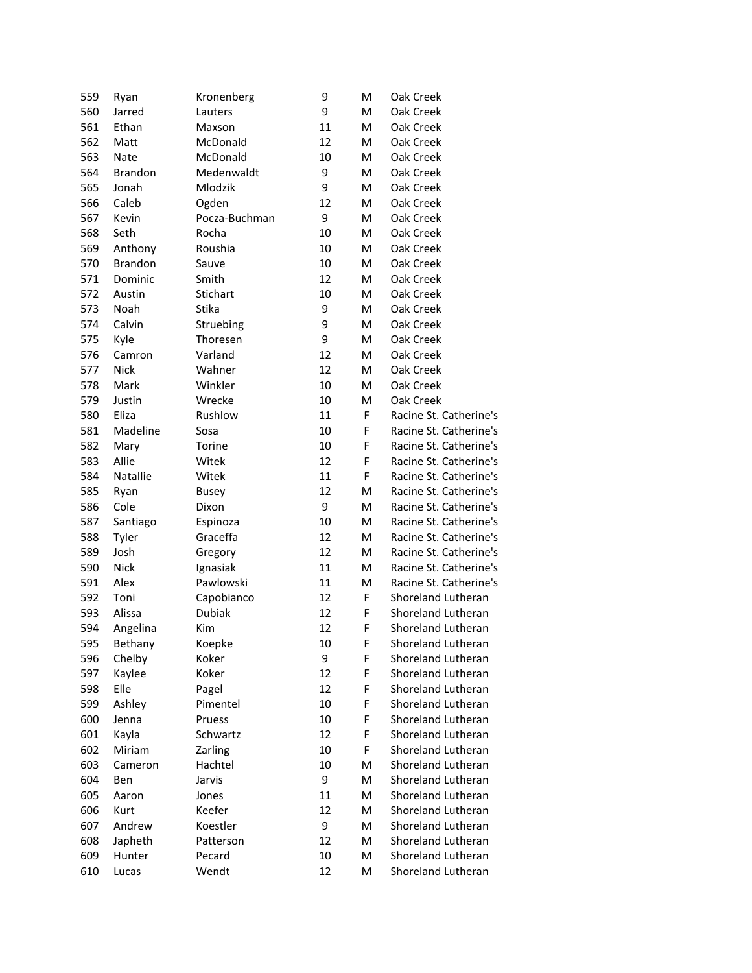| 559 | Ryan           | Kronenberg    | 9      | M | Oak Creek              |
|-----|----------------|---------------|--------|---|------------------------|
| 560 | Jarred         | Lauters       | 9      | M | Oak Creek              |
| 561 | Ethan          | Maxson        | 11     | M | Oak Creek              |
| 562 | Matt           | McDonald      | 12     | M | Oak Creek              |
| 563 | Nate           | McDonald      | 10     | M | Oak Creek              |
| 564 | <b>Brandon</b> | Medenwaldt    | 9      | M | Oak Creek              |
| 565 | Jonah          | Mlodzik       | 9      | M | Oak Creek              |
| 566 | Caleb          | Ogden         | 12     | M | Oak Creek              |
| 567 | Kevin          | Pocza-Buchman | 9      | M | Oak Creek              |
| 568 | Seth           | Rocha         | 10     | M | Oak Creek              |
| 569 | Anthony        | Roushia       | 10     | M | Oak Creek              |
| 570 | <b>Brandon</b> | Sauve         | 10     | M | Oak Creek              |
| 571 | Dominic        | Smith         | 12     | М | Oak Creek              |
| 572 | Austin         | Stichart      | 10     | M | Oak Creek              |
| 573 | Noah           | Stika         | 9      | M | Oak Creek              |
| 574 | Calvin         | Struebing     | 9      | M | Oak Creek              |
| 575 | Kyle           | Thoresen      | 9      | M | Oak Creek              |
| 576 | Camron         | Varland       | 12     | M | Oak Creek              |
| 577 | Nick           | Wahner        | 12     | M | Oak Creek              |
| 578 | Mark           | Winkler       | 10     | M | Oak Creek              |
| 579 | Justin         | Wrecke        | 10     | M | Oak Creek              |
| 580 | Eliza          | Rushlow       | 11     | F | Racine St. Catherine's |
| 581 | Madeline       | Sosa          | 10     | F | Racine St. Catherine's |
| 582 | Mary           | Torine        | 10     | F | Racine St. Catherine's |
| 583 | Allie          | Witek         | 12     | F | Racine St. Catherine's |
| 584 | Natallie       | Witek         | 11     | F | Racine St. Catherine's |
| 585 | Ryan           | <b>Busey</b>  | 12     | M | Racine St. Catherine's |
| 586 | Cole           | Dixon         | 9      | M | Racine St. Catherine's |
| 587 | Santiago       | Espinoza      | 10     | M | Racine St. Catherine's |
| 588 | Tyler          | Graceffa      | 12     | M | Racine St. Catherine's |
| 589 | Josh           | Gregory       | 12     | M | Racine St. Catherine's |
| 590 | <b>Nick</b>    | Ignasiak      | 11     | M | Racine St. Catherine's |
| 591 | Alex           | Pawlowski     | 11     | M | Racine St. Catherine's |
| 592 | Toni           | Capobianco    | 12     | F | Shoreland Lutheran     |
| 593 | Alissa         | Dubiak        | 12     | F | Shoreland Lutheran     |
| 594 | Angelina       | <b>Kim</b>    | 12     | F | Shoreland Lutheran     |
| 595 | Bethany        | Koepke        | $10\,$ | F | Shoreland Lutheran     |
| 596 | Chelby         | Koker         | 9      | F | Shoreland Lutheran     |
| 597 | Kaylee         | Koker         | 12     | F | Shoreland Lutheran     |
| 598 | Elle           | Pagel         | 12     | F | Shoreland Lutheran     |
| 599 | Ashley         | Pimentel      | 10     | F | Shoreland Lutheran     |
| 600 | Jenna          | Pruess        | 10     | F | Shoreland Lutheran     |
| 601 | Kayla          | Schwartz      | 12     | F | Shoreland Lutheran     |
| 602 | Miriam         | Zarling       | 10     | F | Shoreland Lutheran     |
| 603 | Cameron        | Hachtel       | 10     | M | Shoreland Lutheran     |
| 604 | Ben            | Jarvis        | 9      | M | Shoreland Lutheran     |
| 605 | Aaron          | Jones         | 11     | M | Shoreland Lutheran     |
| 606 | Kurt           | Keefer        | 12     | M | Shoreland Lutheran     |
| 607 | Andrew         | Koestler      | 9      | M | Shoreland Lutheran     |
| 608 | Japheth        |               | 12     | M | Shoreland Lutheran     |
|     |                | Patterson     | 10     | M | Shoreland Lutheran     |
| 609 | Hunter         | Pecard        |        |   |                        |
| 610 | Lucas          | Wendt         | 12     | M | Shoreland Lutheran     |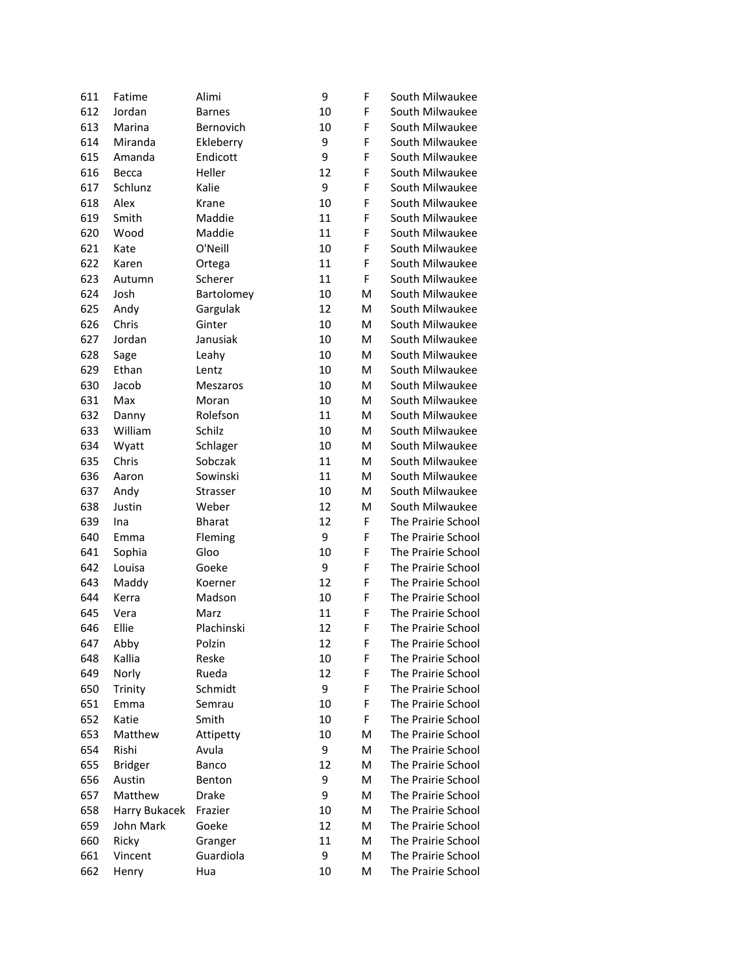| 611        | Fatime         | Alimi          | 9        | F      | South Milwaukee    |
|------------|----------------|----------------|----------|--------|--------------------|
| 612        | Jordan         | <b>Barnes</b>  | 10       | F      | South Milwaukee    |
| 613        | Marina         | Bernovich      | 10       | F      | South Milwaukee    |
| 614        | Miranda        | Ekleberry      | 9        | F      | South Milwaukee    |
| 615        | Amanda         | Endicott       | 9        | F      | South Milwaukee    |
| 616        | Becca          | Heller         | 12       | F      | South Milwaukee    |
| 617        | Schlunz        | Kalie          | 9        | F      | South Milwaukee    |
| 618        | Alex           | Krane          | 10       | F      | South Milwaukee    |
| 619        | Smith          | Maddie         | 11       | F      | South Milwaukee    |
| 620        | Wood           | Maddie         | 11       | F      | South Milwaukee    |
| 621        | Kate           | O'Neill        | 10       | F      | South Milwaukee    |
| 622        | Karen          | Ortega         | 11       | F      | South Milwaukee    |
| 623        | Autumn         | Scherer        | 11       | F      | South Milwaukee    |
| 624        | Josh           | Bartolomey     | 10       | M      | South Milwaukee    |
| 625        | Andy           | Gargulak       | 12       | M      | South Milwaukee    |
| 626        | Chris          | Ginter         | 10       | M      | South Milwaukee    |
| 627        | Jordan         | Janusiak       | 10       | M      | South Milwaukee    |
| 628        | Sage           | Leahy          | 10       | M      | South Milwaukee    |
| 629        | Ethan          | Lentz          | 10       | M      | South Milwaukee    |
| 630        | Jacob          | Meszaros       | 10       | M      | South Milwaukee    |
| 631        | Max            | Moran          | 10       | M      | South Milwaukee    |
| 632        | Danny          | Rolefson       | 11       | M      | South Milwaukee    |
| 633        | William        | Schilz         | 10       | M      | South Milwaukee    |
| 634        | Wyatt          | Schlager       | 10       | M      | South Milwaukee    |
| 635        | Chris          | Sobczak        | 11       | M      | South Milwaukee    |
| 636        | Aaron          | Sowinski       | 11       | M      | South Milwaukee    |
| 637        | Andy           | Strasser       | 10       | M      | South Milwaukee    |
| 638        | Justin         | Weber          | 12       | M      | South Milwaukee    |
| 639        | Ina            | <b>Bharat</b>  | 12       | F      | The Prairie School |
| 640        | Emma           | Fleming        | 9        | F      | The Prairie School |
| 641        | Sophia         | Gloo           | 10       | F      | The Prairie School |
| 642        | Louisa         | Goeke          | 9        | F      | The Prairie School |
| 643        | Maddy          | Koerner        | 12       | F      | The Prairie School |
| 644        | Kerra          | Madson         | 10       | F      | The Prairie School |
| 645        | Vera           | Marz           | 11       | F      | The Prairie School |
| 646        | Ellie          | Plachinski     | 12       | F      | The Prairie School |
|            | Abby           | Polzin         | 12       |        | The Prairie School |
| 647<br>648 | Kallia         |                |          | F<br>F | The Prairie School |
| 649        |                | Reske<br>Rueda | 10<br>12 | F      | The Prairie School |
|            | Norly          | Schmidt        | 9        | F      | The Prairie School |
| 650        | Trinity        |                |          |        | The Prairie School |
| 651        | Emma<br>Katie  | Semrau         | 10       | F      |                    |
| 652        |                | Smith          | 10       | F      | The Prairie School |
| 653        | Matthew        | Attipetty      | 10       | M      | The Prairie School |
| 654        | Rishi          | Avula          | 9        | M      | The Prairie School |
| 655        | <b>Bridger</b> | Banco          | 12       | M      | The Prairie School |
| 656        | Austin         | Benton         | 9        | M      | The Prairie School |
| 657        | Matthew        | Drake          | 9        | M      | The Prairie School |
| 658        | Harry Bukacek  | Frazier        | 10       | Μ      | The Prairie School |
| 659        | John Mark      | Goeke          | 12       | Μ      | The Prairie School |
| 660        | Ricky          | Granger        | 11       | Μ      | The Prairie School |
| 661        | Vincent        | Guardiola      | 9        | Μ      | The Prairie School |
| 662        | Henry          | Hua            | 10       | M      | The Prairie School |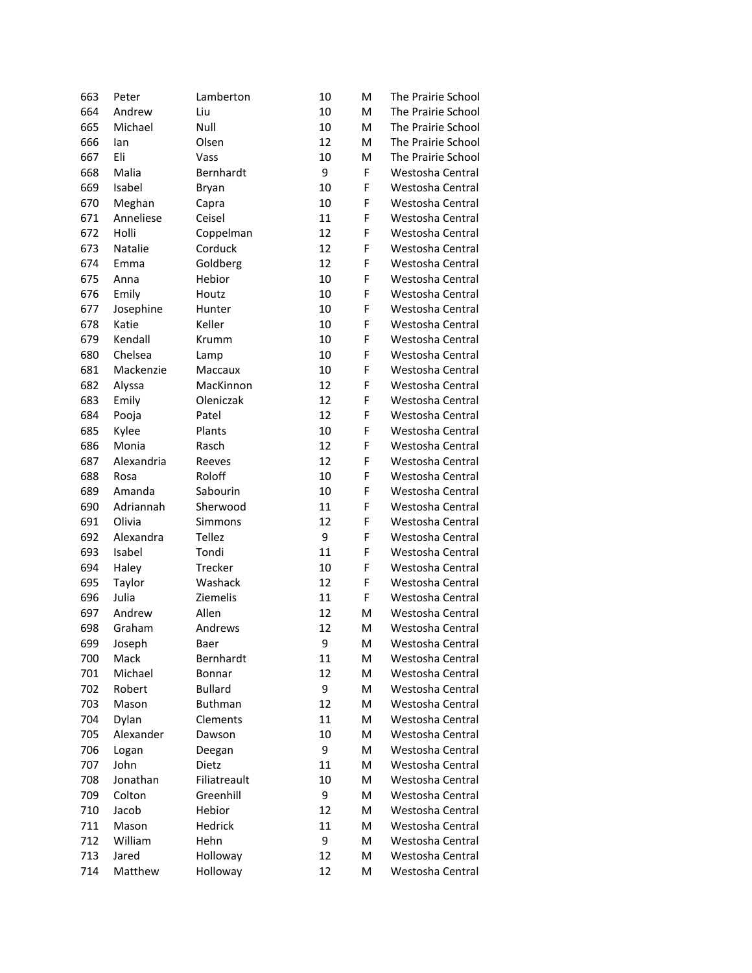| 664<br>Andrew<br>10<br>M<br>The Prairie School<br>Liu<br>665<br>Michael<br>Null<br>10<br>M<br>The Prairie School<br>666<br>Olsen<br>12<br>M<br>The Prairie School<br>lan<br>667<br>Eli<br>10<br>The Prairie School<br>Vass<br>м<br>9<br>668<br>Malia<br>Bernhardt<br>F<br>Westosha Central<br>669<br>Isabel<br>10<br>F<br>Westosha Central<br>Bryan<br>670<br>10<br>F<br>Westosha Central<br>Meghan<br>Capra<br>11<br>671<br>Anneliese<br>F<br>Westosha Central<br>Ceisel<br>12<br>672<br>Holli<br>F<br>Westosha Central<br>Coppelman<br>Corduck<br>12<br>F<br>Westosha Central<br>673<br><b>Natalie</b><br>12<br>F<br>674<br>Goldberg<br>Westosha Central<br>Emma<br>F<br>Hebior<br>10<br>Westosha Central<br>675<br>Anna<br>F<br>676<br>10<br>Westosha Central<br>Emily<br>Houtz<br>F<br>10<br>Westosha Central<br>677<br>Josephine<br>Hunter<br>F<br>678<br>Katie<br>Keller<br>10<br>Westosha Central<br>F<br>679<br>Kendall<br>10<br>Westosha Central<br>Krumm<br>F<br>680<br>Chelsea<br>10<br>Westosha Central<br>Lamp<br>681<br>Mackenzie<br>10<br>F<br>Westosha Central<br>Maccaux<br>12<br>F<br>682<br>MacKinnon<br>Westosha Central<br>Alyssa<br>683<br>Oleniczak<br>12<br>F<br>Westosha Central<br>Emily<br>12<br>684<br>F<br>Westosha Central<br>Pooja<br>Patel<br>685<br>Plants<br>10<br>F<br>Westosha Central<br>Kylee<br>686<br>12<br>Monia<br>Rasch<br>F<br>Westosha Central<br>12<br>F<br>687<br>Alexandria<br>Westosha Central<br>Reeves<br>10<br>688<br>Roloff<br>F<br>Westosha Central<br>Rosa<br>689<br>10<br>F<br>Westosha Central<br>Amanda<br>Sabourin<br>F<br>690<br>Adriannah<br>11<br>Westosha Central<br>Sherwood<br>F<br>691<br>Olivia<br>12<br>Westosha Central<br>Simmons<br>692<br>9<br>F<br>Alexandra<br>Tellez<br>Westosha Central<br>11<br>F<br>693<br>Isabel<br>Tondi<br>Westosha Central<br>694<br>F<br>Haley<br>Trecker<br>10<br>Westosha Central<br>12<br>695<br>Washack<br>F<br>Westosha Central<br>Taylor<br>11<br>F<br>696<br>Julia<br>Ziemelis<br>Westosha Central<br>12<br>697<br>Andrew<br>Allen<br>M<br>Westosha Central<br>12<br>698<br>Graham<br>Andrews<br>M<br>Westosha Central<br>699<br>Joseph<br>Baer<br>9<br>Μ<br>Westosha Central<br>Mack<br>700<br>Bernhardt<br>11<br>Μ<br>Westosha Central<br>12<br>701<br>Michael<br>M<br>Westosha Central<br>Bonnar<br>9<br>702<br>Robert<br><b>Bullard</b><br>Westosha Central<br>Μ<br>703<br><b>Buthman</b><br>12<br>Westosha Central<br>Mason<br>Μ<br>11<br>704<br>Westosha Central<br>Dylan<br><b>Clements</b><br>Μ<br>705<br>Alexander<br>10<br>M<br>Westosha Central<br>Dawson<br>9<br>Westosha Central<br>706<br>Μ<br>Logan<br>Deegan<br>707<br>John<br>11<br>Westosha Central<br><b>Dietz</b><br>Μ<br>Jonathan<br>Filiatreault<br>10<br>Westosha Central<br>708<br>Μ<br>709<br>Colton<br>Greenhill<br>9<br>Westosha Central<br>Μ<br>12<br>710<br>Jacob<br>Hebior<br>M<br>Westosha Central<br>711<br>Hedrick<br>11<br>Westosha Central<br>Mason<br>Μ<br>9<br>712<br>William<br>Hehn<br>Westosha Central<br>Μ |                                                           |  |
|---------------------------------------------------------------------------------------------------------------------------------------------------------------------------------------------------------------------------------------------------------------------------------------------------------------------------------------------------------------------------------------------------------------------------------------------------------------------------------------------------------------------------------------------------------------------------------------------------------------------------------------------------------------------------------------------------------------------------------------------------------------------------------------------------------------------------------------------------------------------------------------------------------------------------------------------------------------------------------------------------------------------------------------------------------------------------------------------------------------------------------------------------------------------------------------------------------------------------------------------------------------------------------------------------------------------------------------------------------------------------------------------------------------------------------------------------------------------------------------------------------------------------------------------------------------------------------------------------------------------------------------------------------------------------------------------------------------------------------------------------------------------------------------------------------------------------------------------------------------------------------------------------------------------------------------------------------------------------------------------------------------------------------------------------------------------------------------------------------------------------------------------------------------------------------------------------------------------------------------------------------------------------------------------------------------------------------------------------------------------------------------------------------------------------------------------------------------------------------------------------------------------------------------------------------------------------------------------------------------------------------------------------------------------------------------------------------------------------------------------------------------------------------------------------------------------------------------------------------------------------------------------------------------------------------------------------------------------------------------------------------------|-----------------------------------------------------------|--|
|                                                                                                                                                                                                                                                                                                                                                                                                                                                                                                                                                                                                                                                                                                                                                                                                                                                                                                                                                                                                                                                                                                                                                                                                                                                                                                                                                                                                                                                                                                                                                                                                                                                                                                                                                                                                                                                                                                                                                                                                                                                                                                                                                                                                                                                                                                                                                                                                                                                                                                                                                                                                                                                                                                                                                                                                                                                                                                                                                                                                               |                                                           |  |
|                                                                                                                                                                                                                                                                                                                                                                                                                                                                                                                                                                                                                                                                                                                                                                                                                                                                                                                                                                                                                                                                                                                                                                                                                                                                                                                                                                                                                                                                                                                                                                                                                                                                                                                                                                                                                                                                                                                                                                                                                                                                                                                                                                                                                                                                                                                                                                                                                                                                                                                                                                                                                                                                                                                                                                                                                                                                                                                                                                                                               |                                                           |  |
|                                                                                                                                                                                                                                                                                                                                                                                                                                                                                                                                                                                                                                                                                                                                                                                                                                                                                                                                                                                                                                                                                                                                                                                                                                                                                                                                                                                                                                                                                                                                                                                                                                                                                                                                                                                                                                                                                                                                                                                                                                                                                                                                                                                                                                                                                                                                                                                                                                                                                                                                                                                                                                                                                                                                                                                                                                                                                                                                                                                                               |                                                           |  |
|                                                                                                                                                                                                                                                                                                                                                                                                                                                                                                                                                                                                                                                                                                                                                                                                                                                                                                                                                                                                                                                                                                                                                                                                                                                                                                                                                                                                                                                                                                                                                                                                                                                                                                                                                                                                                                                                                                                                                                                                                                                                                                                                                                                                                                                                                                                                                                                                                                                                                                                                                                                                                                                                                                                                                                                                                                                                                                                                                                                                               |                                                           |  |
|                                                                                                                                                                                                                                                                                                                                                                                                                                                                                                                                                                                                                                                                                                                                                                                                                                                                                                                                                                                                                                                                                                                                                                                                                                                                                                                                                                                                                                                                                                                                                                                                                                                                                                                                                                                                                                                                                                                                                                                                                                                                                                                                                                                                                                                                                                                                                                                                                                                                                                                                                                                                                                                                                                                                                                                                                                                                                                                                                                                                               |                                                           |  |
|                                                                                                                                                                                                                                                                                                                                                                                                                                                                                                                                                                                                                                                                                                                                                                                                                                                                                                                                                                                                                                                                                                                                                                                                                                                                                                                                                                                                                                                                                                                                                                                                                                                                                                                                                                                                                                                                                                                                                                                                                                                                                                                                                                                                                                                                                                                                                                                                                                                                                                                                                                                                                                                                                                                                                                                                                                                                                                                                                                                                               |                                                           |  |
|                                                                                                                                                                                                                                                                                                                                                                                                                                                                                                                                                                                                                                                                                                                                                                                                                                                                                                                                                                                                                                                                                                                                                                                                                                                                                                                                                                                                                                                                                                                                                                                                                                                                                                                                                                                                                                                                                                                                                                                                                                                                                                                                                                                                                                                                                                                                                                                                                                                                                                                                                                                                                                                                                                                                                                                                                                                                                                                                                                                                               |                                                           |  |
|                                                                                                                                                                                                                                                                                                                                                                                                                                                                                                                                                                                                                                                                                                                                                                                                                                                                                                                                                                                                                                                                                                                                                                                                                                                                                                                                                                                                                                                                                                                                                                                                                                                                                                                                                                                                                                                                                                                                                                                                                                                                                                                                                                                                                                                                                                                                                                                                                                                                                                                                                                                                                                                                                                                                                                                                                                                                                                                                                                                                               |                                                           |  |
|                                                                                                                                                                                                                                                                                                                                                                                                                                                                                                                                                                                                                                                                                                                                                                                                                                                                                                                                                                                                                                                                                                                                                                                                                                                                                                                                                                                                                                                                                                                                                                                                                                                                                                                                                                                                                                                                                                                                                                                                                                                                                                                                                                                                                                                                                                                                                                                                                                                                                                                                                                                                                                                                                                                                                                                                                                                                                                                                                                                                               |                                                           |  |
|                                                                                                                                                                                                                                                                                                                                                                                                                                                                                                                                                                                                                                                                                                                                                                                                                                                                                                                                                                                                                                                                                                                                                                                                                                                                                                                                                                                                                                                                                                                                                                                                                                                                                                                                                                                                                                                                                                                                                                                                                                                                                                                                                                                                                                                                                                                                                                                                                                                                                                                                                                                                                                                                                                                                                                                                                                                                                                                                                                                                               |                                                           |  |
|                                                                                                                                                                                                                                                                                                                                                                                                                                                                                                                                                                                                                                                                                                                                                                                                                                                                                                                                                                                                                                                                                                                                                                                                                                                                                                                                                                                                                                                                                                                                                                                                                                                                                                                                                                                                                                                                                                                                                                                                                                                                                                                                                                                                                                                                                                                                                                                                                                                                                                                                                                                                                                                                                                                                                                                                                                                                                                                                                                                                               |                                                           |  |
|                                                                                                                                                                                                                                                                                                                                                                                                                                                                                                                                                                                                                                                                                                                                                                                                                                                                                                                                                                                                                                                                                                                                                                                                                                                                                                                                                                                                                                                                                                                                                                                                                                                                                                                                                                                                                                                                                                                                                                                                                                                                                                                                                                                                                                                                                                                                                                                                                                                                                                                                                                                                                                                                                                                                                                                                                                                                                                                                                                                                               |                                                           |  |
|                                                                                                                                                                                                                                                                                                                                                                                                                                                                                                                                                                                                                                                                                                                                                                                                                                                                                                                                                                                                                                                                                                                                                                                                                                                                                                                                                                                                                                                                                                                                                                                                                                                                                                                                                                                                                                                                                                                                                                                                                                                                                                                                                                                                                                                                                                                                                                                                                                                                                                                                                                                                                                                                                                                                                                                                                                                                                                                                                                                                               |                                                           |  |
|                                                                                                                                                                                                                                                                                                                                                                                                                                                                                                                                                                                                                                                                                                                                                                                                                                                                                                                                                                                                                                                                                                                                                                                                                                                                                                                                                                                                                                                                                                                                                                                                                                                                                                                                                                                                                                                                                                                                                                                                                                                                                                                                                                                                                                                                                                                                                                                                                                                                                                                                                                                                                                                                                                                                                                                                                                                                                                                                                                                                               |                                                           |  |
|                                                                                                                                                                                                                                                                                                                                                                                                                                                                                                                                                                                                                                                                                                                                                                                                                                                                                                                                                                                                                                                                                                                                                                                                                                                                                                                                                                                                                                                                                                                                                                                                                                                                                                                                                                                                                                                                                                                                                                                                                                                                                                                                                                                                                                                                                                                                                                                                                                                                                                                                                                                                                                                                                                                                                                                                                                                                                                                                                                                                               |                                                           |  |
|                                                                                                                                                                                                                                                                                                                                                                                                                                                                                                                                                                                                                                                                                                                                                                                                                                                                                                                                                                                                                                                                                                                                                                                                                                                                                                                                                                                                                                                                                                                                                                                                                                                                                                                                                                                                                                                                                                                                                                                                                                                                                                                                                                                                                                                                                                                                                                                                                                                                                                                                                                                                                                                                                                                                                                                                                                                                                                                                                                                                               |                                                           |  |
|                                                                                                                                                                                                                                                                                                                                                                                                                                                                                                                                                                                                                                                                                                                                                                                                                                                                                                                                                                                                                                                                                                                                                                                                                                                                                                                                                                                                                                                                                                                                                                                                                                                                                                                                                                                                                                                                                                                                                                                                                                                                                                                                                                                                                                                                                                                                                                                                                                                                                                                                                                                                                                                                                                                                                                                                                                                                                                                                                                                                               |                                                           |  |
|                                                                                                                                                                                                                                                                                                                                                                                                                                                                                                                                                                                                                                                                                                                                                                                                                                                                                                                                                                                                                                                                                                                                                                                                                                                                                                                                                                                                                                                                                                                                                                                                                                                                                                                                                                                                                                                                                                                                                                                                                                                                                                                                                                                                                                                                                                                                                                                                                                                                                                                                                                                                                                                                                                                                                                                                                                                                                                                                                                                                               |                                                           |  |
|                                                                                                                                                                                                                                                                                                                                                                                                                                                                                                                                                                                                                                                                                                                                                                                                                                                                                                                                                                                                                                                                                                                                                                                                                                                                                                                                                                                                                                                                                                                                                                                                                                                                                                                                                                                                                                                                                                                                                                                                                                                                                                                                                                                                                                                                                                                                                                                                                                                                                                                                                                                                                                                                                                                                                                                                                                                                                                                                                                                                               |                                                           |  |
|                                                                                                                                                                                                                                                                                                                                                                                                                                                                                                                                                                                                                                                                                                                                                                                                                                                                                                                                                                                                                                                                                                                                                                                                                                                                                                                                                                                                                                                                                                                                                                                                                                                                                                                                                                                                                                                                                                                                                                                                                                                                                                                                                                                                                                                                                                                                                                                                                                                                                                                                                                                                                                                                                                                                                                                                                                                                                                                                                                                                               |                                                           |  |
|                                                                                                                                                                                                                                                                                                                                                                                                                                                                                                                                                                                                                                                                                                                                                                                                                                                                                                                                                                                                                                                                                                                                                                                                                                                                                                                                                                                                                                                                                                                                                                                                                                                                                                                                                                                                                                                                                                                                                                                                                                                                                                                                                                                                                                                                                                                                                                                                                                                                                                                                                                                                                                                                                                                                                                                                                                                                                                                                                                                                               |                                                           |  |
|                                                                                                                                                                                                                                                                                                                                                                                                                                                                                                                                                                                                                                                                                                                                                                                                                                                                                                                                                                                                                                                                                                                                                                                                                                                                                                                                                                                                                                                                                                                                                                                                                                                                                                                                                                                                                                                                                                                                                                                                                                                                                                                                                                                                                                                                                                                                                                                                                                                                                                                                                                                                                                                                                                                                                                                                                                                                                                                                                                                                               |                                                           |  |
|                                                                                                                                                                                                                                                                                                                                                                                                                                                                                                                                                                                                                                                                                                                                                                                                                                                                                                                                                                                                                                                                                                                                                                                                                                                                                                                                                                                                                                                                                                                                                                                                                                                                                                                                                                                                                                                                                                                                                                                                                                                                                                                                                                                                                                                                                                                                                                                                                                                                                                                                                                                                                                                                                                                                                                                                                                                                                                                                                                                                               |                                                           |  |
|                                                                                                                                                                                                                                                                                                                                                                                                                                                                                                                                                                                                                                                                                                                                                                                                                                                                                                                                                                                                                                                                                                                                                                                                                                                                                                                                                                                                                                                                                                                                                                                                                                                                                                                                                                                                                                                                                                                                                                                                                                                                                                                                                                                                                                                                                                                                                                                                                                                                                                                                                                                                                                                                                                                                                                                                                                                                                                                                                                                                               |                                                           |  |
|                                                                                                                                                                                                                                                                                                                                                                                                                                                                                                                                                                                                                                                                                                                                                                                                                                                                                                                                                                                                                                                                                                                                                                                                                                                                                                                                                                                                                                                                                                                                                                                                                                                                                                                                                                                                                                                                                                                                                                                                                                                                                                                                                                                                                                                                                                                                                                                                                                                                                                                                                                                                                                                                                                                                                                                                                                                                                                                                                                                                               |                                                           |  |
|                                                                                                                                                                                                                                                                                                                                                                                                                                                                                                                                                                                                                                                                                                                                                                                                                                                                                                                                                                                                                                                                                                                                                                                                                                                                                                                                                                                                                                                                                                                                                                                                                                                                                                                                                                                                                                                                                                                                                                                                                                                                                                                                                                                                                                                                                                                                                                                                                                                                                                                                                                                                                                                                                                                                                                                                                                                                                                                                                                                                               |                                                           |  |
|                                                                                                                                                                                                                                                                                                                                                                                                                                                                                                                                                                                                                                                                                                                                                                                                                                                                                                                                                                                                                                                                                                                                                                                                                                                                                                                                                                                                                                                                                                                                                                                                                                                                                                                                                                                                                                                                                                                                                                                                                                                                                                                                                                                                                                                                                                                                                                                                                                                                                                                                                                                                                                                                                                                                                                                                                                                                                                                                                                                                               |                                                           |  |
|                                                                                                                                                                                                                                                                                                                                                                                                                                                                                                                                                                                                                                                                                                                                                                                                                                                                                                                                                                                                                                                                                                                                                                                                                                                                                                                                                                                                                                                                                                                                                                                                                                                                                                                                                                                                                                                                                                                                                                                                                                                                                                                                                                                                                                                                                                                                                                                                                                                                                                                                                                                                                                                                                                                                                                                                                                                                                                                                                                                                               |                                                           |  |
|                                                                                                                                                                                                                                                                                                                                                                                                                                                                                                                                                                                                                                                                                                                                                                                                                                                                                                                                                                                                                                                                                                                                                                                                                                                                                                                                                                                                                                                                                                                                                                                                                                                                                                                                                                                                                                                                                                                                                                                                                                                                                                                                                                                                                                                                                                                                                                                                                                                                                                                                                                                                                                                                                                                                                                                                                                                                                                                                                                                                               |                                                           |  |
|                                                                                                                                                                                                                                                                                                                                                                                                                                                                                                                                                                                                                                                                                                                                                                                                                                                                                                                                                                                                                                                                                                                                                                                                                                                                                                                                                                                                                                                                                                                                                                                                                                                                                                                                                                                                                                                                                                                                                                                                                                                                                                                                                                                                                                                                                                                                                                                                                                                                                                                                                                                                                                                                                                                                                                                                                                                                                                                                                                                                               |                                                           |  |
|                                                                                                                                                                                                                                                                                                                                                                                                                                                                                                                                                                                                                                                                                                                                                                                                                                                                                                                                                                                                                                                                                                                                                                                                                                                                                                                                                                                                                                                                                                                                                                                                                                                                                                                                                                                                                                                                                                                                                                                                                                                                                                                                                                                                                                                                                                                                                                                                                                                                                                                                                                                                                                                                                                                                                                                                                                                                                                                                                                                                               |                                                           |  |
|                                                                                                                                                                                                                                                                                                                                                                                                                                                                                                                                                                                                                                                                                                                                                                                                                                                                                                                                                                                                                                                                                                                                                                                                                                                                                                                                                                                                                                                                                                                                                                                                                                                                                                                                                                                                                                                                                                                                                                                                                                                                                                                                                                                                                                                                                                                                                                                                                                                                                                                                                                                                                                                                                                                                                                                                                                                                                                                                                                                                               |                                                           |  |
|                                                                                                                                                                                                                                                                                                                                                                                                                                                                                                                                                                                                                                                                                                                                                                                                                                                                                                                                                                                                                                                                                                                                                                                                                                                                                                                                                                                                                                                                                                                                                                                                                                                                                                                                                                                                                                                                                                                                                                                                                                                                                                                                                                                                                                                                                                                                                                                                                                                                                                                                                                                                                                                                                                                                                                                                                                                                                                                                                                                                               |                                                           |  |
|                                                                                                                                                                                                                                                                                                                                                                                                                                                                                                                                                                                                                                                                                                                                                                                                                                                                                                                                                                                                                                                                                                                                                                                                                                                                                                                                                                                                                                                                                                                                                                                                                                                                                                                                                                                                                                                                                                                                                                                                                                                                                                                                                                                                                                                                                                                                                                                                                                                                                                                                                                                                                                                                                                                                                                                                                                                                                                                                                                                                               |                                                           |  |
|                                                                                                                                                                                                                                                                                                                                                                                                                                                                                                                                                                                                                                                                                                                                                                                                                                                                                                                                                                                                                                                                                                                                                                                                                                                                                                                                                                                                                                                                                                                                                                                                                                                                                                                                                                                                                                                                                                                                                                                                                                                                                                                                                                                                                                                                                                                                                                                                                                                                                                                                                                                                                                                                                                                                                                                                                                                                                                                                                                                                               |                                                           |  |
|                                                                                                                                                                                                                                                                                                                                                                                                                                                                                                                                                                                                                                                                                                                                                                                                                                                                                                                                                                                                                                                                                                                                                                                                                                                                                                                                                                                                                                                                                                                                                                                                                                                                                                                                                                                                                                                                                                                                                                                                                                                                                                                                                                                                                                                                                                                                                                                                                                                                                                                                                                                                                                                                                                                                                                                                                                                                                                                                                                                                               |                                                           |  |
|                                                                                                                                                                                                                                                                                                                                                                                                                                                                                                                                                                                                                                                                                                                                                                                                                                                                                                                                                                                                                                                                                                                                                                                                                                                                                                                                                                                                                                                                                                                                                                                                                                                                                                                                                                                                                                                                                                                                                                                                                                                                                                                                                                                                                                                                                                                                                                                                                                                                                                                                                                                                                                                                                                                                                                                                                                                                                                                                                                                                               |                                                           |  |
|                                                                                                                                                                                                                                                                                                                                                                                                                                                                                                                                                                                                                                                                                                                                                                                                                                                                                                                                                                                                                                                                                                                                                                                                                                                                                                                                                                                                                                                                                                                                                                                                                                                                                                                                                                                                                                                                                                                                                                                                                                                                                                                                                                                                                                                                                                                                                                                                                                                                                                                                                                                                                                                                                                                                                                                                                                                                                                                                                                                                               |                                                           |  |
|                                                                                                                                                                                                                                                                                                                                                                                                                                                                                                                                                                                                                                                                                                                                                                                                                                                                                                                                                                                                                                                                                                                                                                                                                                                                                                                                                                                                                                                                                                                                                                                                                                                                                                                                                                                                                                                                                                                                                                                                                                                                                                                                                                                                                                                                                                                                                                                                                                                                                                                                                                                                                                                                                                                                                                                                                                                                                                                                                                                                               |                                                           |  |
|                                                                                                                                                                                                                                                                                                                                                                                                                                                                                                                                                                                                                                                                                                                                                                                                                                                                                                                                                                                                                                                                                                                                                                                                                                                                                                                                                                                                                                                                                                                                                                                                                                                                                                                                                                                                                                                                                                                                                                                                                                                                                                                                                                                                                                                                                                                                                                                                                                                                                                                                                                                                                                                                                                                                                                                                                                                                                                                                                                                                               |                                                           |  |
|                                                                                                                                                                                                                                                                                                                                                                                                                                                                                                                                                                                                                                                                                                                                                                                                                                                                                                                                                                                                                                                                                                                                                                                                                                                                                                                                                                                                                                                                                                                                                                                                                                                                                                                                                                                                                                                                                                                                                                                                                                                                                                                                                                                                                                                                                                                                                                                                                                                                                                                                                                                                                                                                                                                                                                                                                                                                                                                                                                                                               |                                                           |  |
|                                                                                                                                                                                                                                                                                                                                                                                                                                                                                                                                                                                                                                                                                                                                                                                                                                                                                                                                                                                                                                                                                                                                                                                                                                                                                                                                                                                                                                                                                                                                                                                                                                                                                                                                                                                                                                                                                                                                                                                                                                                                                                                                                                                                                                                                                                                                                                                                                                                                                                                                                                                                                                                                                                                                                                                                                                                                                                                                                                                                               |                                                           |  |
|                                                                                                                                                                                                                                                                                                                                                                                                                                                                                                                                                                                                                                                                                                                                                                                                                                                                                                                                                                                                                                                                                                                                                                                                                                                                                                                                                                                                                                                                                                                                                                                                                                                                                                                                                                                                                                                                                                                                                                                                                                                                                                                                                                                                                                                                                                                                                                                                                                                                                                                                                                                                                                                                                                                                                                                                                                                                                                                                                                                                               |                                                           |  |
|                                                                                                                                                                                                                                                                                                                                                                                                                                                                                                                                                                                                                                                                                                                                                                                                                                                                                                                                                                                                                                                                                                                                                                                                                                                                                                                                                                                                                                                                                                                                                                                                                                                                                                                                                                                                                                                                                                                                                                                                                                                                                                                                                                                                                                                                                                                                                                                                                                                                                                                                                                                                                                                                                                                                                                                                                                                                                                                                                                                                               |                                                           |  |
|                                                                                                                                                                                                                                                                                                                                                                                                                                                                                                                                                                                                                                                                                                                                                                                                                                                                                                                                                                                                                                                                                                                                                                                                                                                                                                                                                                                                                                                                                                                                                                                                                                                                                                                                                                                                                                                                                                                                                                                                                                                                                                                                                                                                                                                                                                                                                                                                                                                                                                                                                                                                                                                                                                                                                                                                                                                                                                                                                                                                               |                                                           |  |
|                                                                                                                                                                                                                                                                                                                                                                                                                                                                                                                                                                                                                                                                                                                                                                                                                                                                                                                                                                                                                                                                                                                                                                                                                                                                                                                                                                                                                                                                                                                                                                                                                                                                                                                                                                                                                                                                                                                                                                                                                                                                                                                                                                                                                                                                                                                                                                                                                                                                                                                                                                                                                                                                                                                                                                                                                                                                                                                                                                                                               |                                                           |  |
|                                                                                                                                                                                                                                                                                                                                                                                                                                                                                                                                                                                                                                                                                                                                                                                                                                                                                                                                                                                                                                                                                                                                                                                                                                                                                                                                                                                                                                                                                                                                                                                                                                                                                                                                                                                                                                                                                                                                                                                                                                                                                                                                                                                                                                                                                                                                                                                                                                                                                                                                                                                                                                                                                                                                                                                                                                                                                                                                                                                                               |                                                           |  |
|                                                                                                                                                                                                                                                                                                                                                                                                                                                                                                                                                                                                                                                                                                                                                                                                                                                                                                                                                                                                                                                                                                                                                                                                                                                                                                                                                                                                                                                                                                                                                                                                                                                                                                                                                                                                                                                                                                                                                                                                                                                                                                                                                                                                                                                                                                                                                                                                                                                                                                                                                                                                                                                                                                                                                                                                                                                                                                                                                                                                               |                                                           |  |
|                                                                                                                                                                                                                                                                                                                                                                                                                                                                                                                                                                                                                                                                                                                                                                                                                                                                                                                                                                                                                                                                                                                                                                                                                                                                                                                                                                                                                                                                                                                                                                                                                                                                                                                                                                                                                                                                                                                                                                                                                                                                                                                                                                                                                                                                                                                                                                                                                                                                                                                                                                                                                                                                                                                                                                                                                                                                                                                                                                                                               |                                                           |  |
| 713<br>Holloway<br>12<br>Westosha Central<br>Jared<br>Μ                                                                                                                                                                                                                                                                                                                                                                                                                                                                                                                                                                                                                                                                                                                                                                                                                                                                                                                                                                                                                                                                                                                                                                                                                                                                                                                                                                                                                                                                                                                                                                                                                                                                                                                                                                                                                                                                                                                                                                                                                                                                                                                                                                                                                                                                                                                                                                                                                                                                                                                                                                                                                                                                                                                                                                                                                                                                                                                                                       |                                                           |  |
|                                                                                                                                                                                                                                                                                                                                                                                                                                                                                                                                                                                                                                                                                                                                                                                                                                                                                                                                                                                                                                                                                                                                                                                                                                                                                                                                                                                                                                                                                                                                                                                                                                                                                                                                                                                                                                                                                                                                                                                                                                                                                                                                                                                                                                                                                                                                                                                                                                                                                                                                                                                                                                                                                                                                                                                                                                                                                                                                                                                                               | Matthew<br>12<br>M<br>Westosha Central<br>714<br>Holloway |  |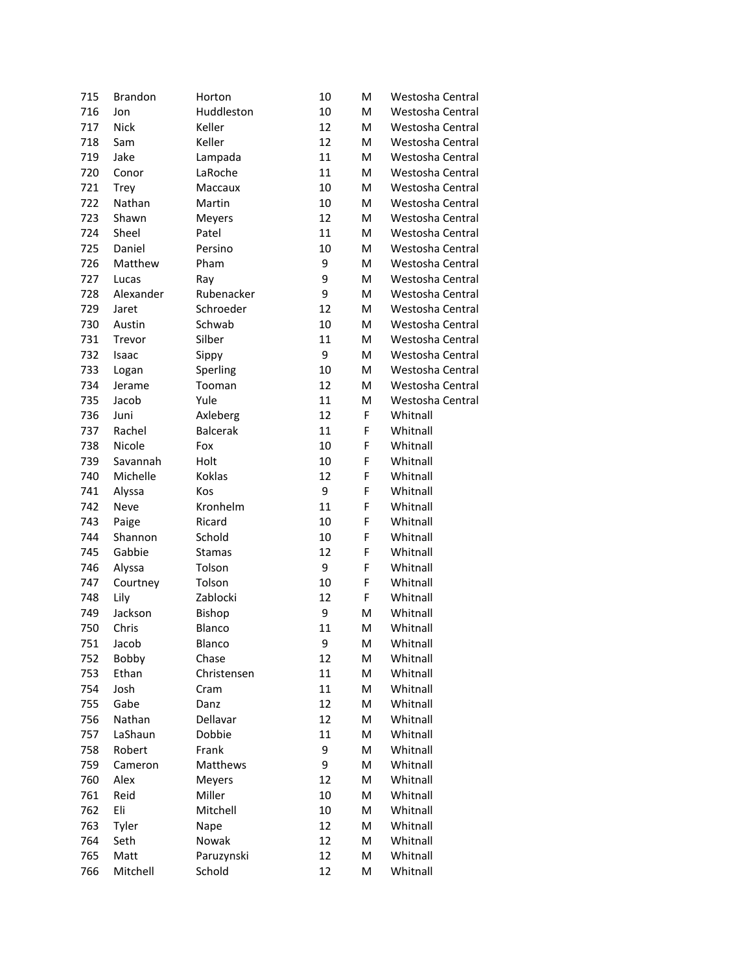| 715 | <b>Brandon</b> | Horton          | 10 | M | Westosha Central |
|-----|----------------|-----------------|----|---|------------------|
| 716 | Jon            | Huddleston      | 10 | M | Westosha Central |
| 717 | <b>Nick</b>    | Keller          | 12 | M | Westosha Central |
| 718 | Sam            | Keller          | 12 | M | Westosha Central |
| 719 | Jake           | Lampada         | 11 | M | Westosha Central |
| 720 | Conor          | LaRoche         | 11 | M | Westosha Central |
| 721 | <b>Trey</b>    | Maccaux         | 10 | M | Westosha Central |
| 722 | Nathan         | Martin          | 10 | M | Westosha Central |
| 723 | Shawn          | Meyers          | 12 | M | Westosha Central |
| 724 | Sheel          | Patel           | 11 | м | Westosha Central |
| 725 | Daniel         | Persino         | 10 | м | Westosha Central |
| 726 | Matthew        | Pham            | 9  | M | Westosha Central |
| 727 | Lucas          | Ray             | 9  | M | Westosha Central |
| 728 | Alexander      | Rubenacker      | 9  | M | Westosha Central |
| 729 | Jaret          | Schroeder       | 12 | м | Westosha Central |
| 730 | Austin         | Schwab          | 10 | M | Westosha Central |
| 731 | Trevor         | Silber          | 11 | M | Westosha Central |
| 732 | Isaac          | Sippy           | 9  | M | Westosha Central |
| 733 | Logan          | Sperling        | 10 | M | Westosha Central |
| 734 | Jerame         | Tooman          | 12 | M | Westosha Central |
| 735 | Jacob          | Yule            | 11 | M | Westosha Central |
| 736 | Juni           | Axleberg        | 12 | F | Whitnall         |
| 737 | Rachel         | <b>Balcerak</b> | 11 | F | Whitnall         |
| 738 | Nicole         | Fox             | 10 | F | Whitnall         |
| 739 | Savannah       | Holt            | 10 | F | Whitnall         |
| 740 | Michelle       | Koklas          | 12 | F | Whitnall         |
| 741 | Alyssa         | Kos             | 9  | F | Whitnall         |
| 742 | Neve           | Kronhelm        | 11 | F | Whitnall         |
| 743 | Paige          | Ricard          | 10 | F | Whitnall         |
| 744 | Shannon        | Schold          | 10 | F | Whitnall         |
| 745 | Gabbie         | <b>Stamas</b>   | 12 | F | Whitnall         |
| 746 | Alyssa         | Tolson          | 9  | F | Whitnall         |
| 747 | Courtney       | Tolson          | 10 | F | Whitnall         |
| 748 | Lily           | Zablocki        | 12 | F | Whitnall         |
| 749 | Jackson        | Bishop          | 9  | M | Whitnall         |
| 750 | Chris          | Blanco          | 11 | M | Whitnall         |
| 751 | Jacob          | Blanco          | 9  | M | Whitnall         |
| 752 | Bobby          | Chase           | 12 | Μ | Whitnall         |
| 753 | Ethan          | Christensen     | 11 | M | Whitnall         |
| 754 | Josh           | Cram            | 11 | M | Whitnall         |
| 755 | Gabe           | Danz            | 12 | M | Whitnall         |
| 756 | Nathan         | Dellavar        | 12 | M | Whitnall         |
| 757 | LaShaun        | Dobbie          | 11 | M | Whitnall         |
| 758 | Robert         | Frank           | 9  | M | Whitnall         |
| 759 | Cameron        | Matthews        | 9  | M | Whitnall         |
| 760 | Alex           | Meyers          | 12 | M | Whitnall         |
| 761 | Reid           | Miller          | 10 | M | Whitnall         |
|     |                |                 |    |   |                  |
| 762 | Eli            | Mitchell        | 10 | M | Whitnall         |
| 763 | Tyler          | Nape            | 12 | M | Whitnall         |
| 764 | Seth           | Nowak           | 12 | M | Whitnall         |
| 765 | Matt           | Paruzynski      | 12 | M | Whitnall         |
| 766 | Mitchell       | Schold          | 12 | Μ | Whitnall         |